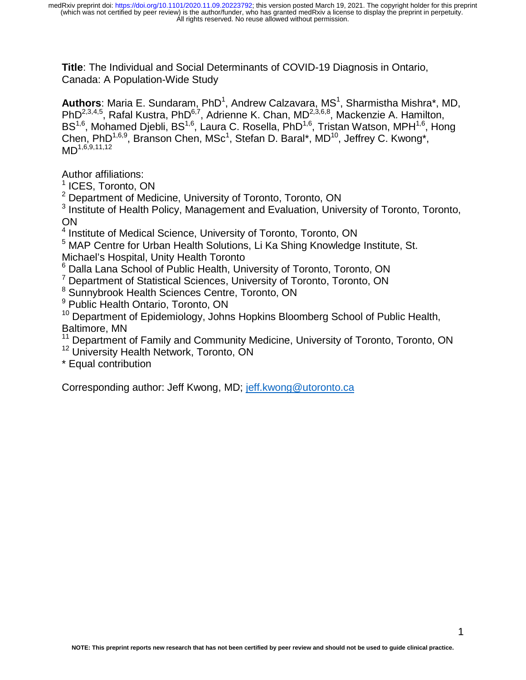**Title**: The Individual and Social Determinants of COVID-19 Diagnosis in Ontario, Canada: A Population-Wide Study

Authors: Maria E. Sundaram, PhD<sup>1</sup>, Andrew Calzavara, MS<sup>1</sup>, Sharmistha Mishra\*, MD, PhD2,3,4,5, Rafal Kustra, PhD6,7, Adrienne K. Chan, MD2,3,6,8, Mackenzie A. Hamilton, BS<sup>1,6</sup>, Mohamed Djebli, BS<sup>1,6</sup>, Laura C. Rosella, PhD<sup>1,6</sup>, Tristan Watson, MPH<sup>1,6</sup>, Hong Chen, PhD<sup>1,6,9</sup>, Branson Chen, MSc<sup>1</sup>, Stefan D. Baral\*, MD<sup>10</sup>, Jeffrey C. Kwong\*,  $MD^{1,6,9,11,12}$ 

Author affiliations:

1 ICES, Toronto, ON

<sup>2</sup> Department of Medicine, University of Toronto, Toronto, ON

<sup>3</sup> Institute of Health Policy, Management and Evaluation, University of Toronto, Toronto, ON

<sup>4</sup> Institute of Medical Science, University of Toronto, Toronto, ON

<sup>5</sup> MAP Centre for Urban Health Solutions, Li Ka Shing Knowledge Institute, St. Michael's Hospital, Unity Health Toronto

6 Dalla Lana School of Public Health, University of Toronto, Toronto, ON

<sup>7</sup> Department of Statistical Sciences, University of Toronto, Toronto, ON

<sup>8</sup> Sunnybrook Health Sciences Centre, Toronto, ON

<sup>9</sup> Public Health Ontario, Toronto, ON

<sup>10</sup> Department of Epidemiology, Johns Hopkins Bloomberg School of Public Health, Baltimore, MN

<sup>11</sup> Department of Family and Community Medicine, University of Toronto, Toronto, ON

<sup>12</sup> University Health Network, Toronto, ON

\* Equal contribution

Corresponding author: Jeff Kwong, MD; jeff.kwong@utoronto.ca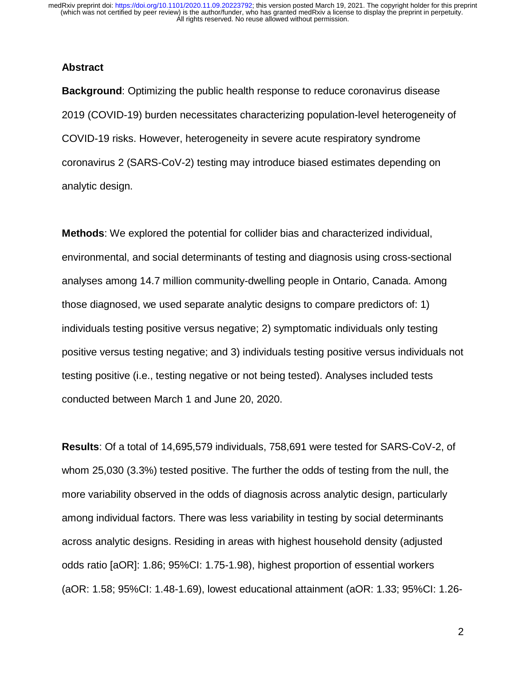#### **Abstract**

**Background**: Optimizing the public health response to reduce coronavirus disease 2019 (COVID-19) burden necessitates characterizing population-level heterogeneity of COVID-19 risks. However, heterogeneity in severe acute respiratory syndrome coronavirus 2 (SARS-CoV-2) testing may introduce biased estimates depending on analytic design.

**Methods**: We explored the potential for collider bias and characterized individual, environmental, and social determinants of testing and diagnosis using cross-sectional analyses among 14.7 million community-dwelling people in Ontario, Canada. Among those diagnosed, we used separate analytic designs to compare predictors of: 1) individuals testing positive versus negative; 2) symptomatic individuals only testing positive versus testing negative; and 3) individuals testing positive versus individuals not testing positive (i.e., testing negative or not being tested). Analyses included tests conducted between March 1 and June 20, 2020.

**Results**: Of a total of 14,695,579 individuals, 758,691 were tested for SARS-CoV-2, of whom 25,030 (3.3%) tested positive. The further the odds of testing from the null, the more variability observed in the odds of diagnosis across analytic design, particularly among individual factors. There was less variability in testing by social determinants across analytic designs. Residing in areas with highest household density (adjusted odds ratio [aOR]: 1.86; 95%CI: 1.75-1.98), highest proportion of essential workers (aOR: 1.58; 95%CI: 1.48-1.69), lowest educational attainment (aOR: 1.33; 95%CI: 1.26-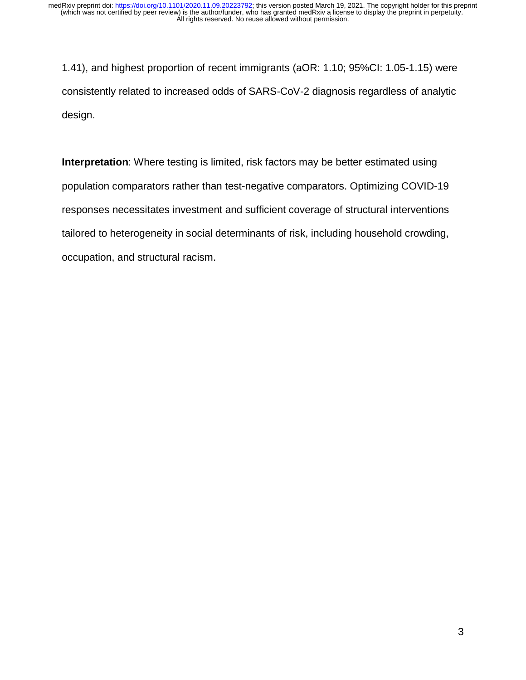1.41), and highest proportion of recent immigrants (aOR: 1.10; 95%CI: 1.05-1.15) were consistently related to increased odds of SARS-CoV-2 diagnosis regardless of analytic design.

**Interpretation**: Where testing is limited, risk factors may be better estimated using population comparators rather than test-negative comparators. Optimizing COVID-19 responses necessitates investment and sufficient coverage of structural interventions tailored to heterogeneity in social determinants of risk, including household crowding, occupation, and structural racism.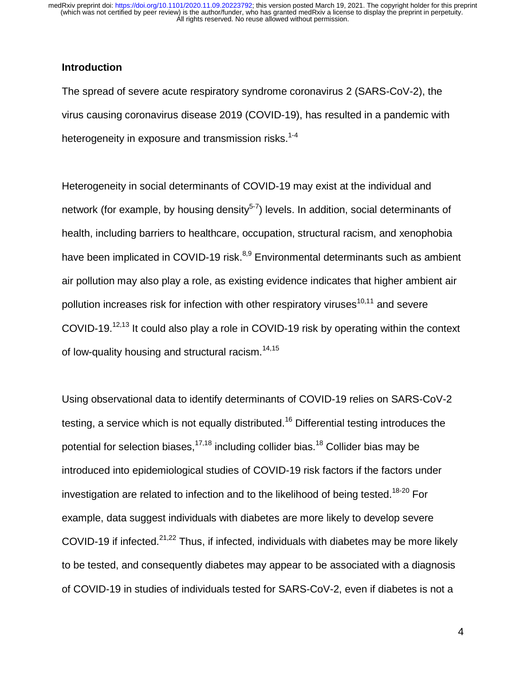### **Introduction**

The spread of severe acute respiratory syndrome coronavirus 2 (SARS-CoV-2), the virus causing coronavirus disease 2019 (COVID-19), has resulted in a pandemic with heterogeneity in exposure and transmission risks. $1-4$ 

Heterogeneity in social determinants of COVID-19 may exist at the individual and network (for example, by housing density<sup>5-7</sup>) levels. In addition, social determinants of health, including barriers to healthcare, occupation, structural racism, and xenophobia have been implicated in COVID-19 risk.<sup>8,9</sup> Environmental determinants such as ambient air pollution may also play a role, as existing evidence indicates that higher ambient air pollution increases risk for infection with other respiratory viruses $10,11$  and severe COVID-19.12,13 It could also play a role in COVID-19 risk by operating within the context of low-quality housing and structural racism.<sup>14,15</sup>

Using observational data to identify determinants of COVID-19 relies on SARS-CoV-2 testing, a service which is not equally distributed.<sup>16</sup> Differential testing introduces the potential for selection biases.<sup>17,18</sup> including collider bias.<sup>18</sup> Collider bias may be introduced into epidemiological studies of COVID-19 risk factors if the factors under investigation are related to infection and to the likelihood of being tested.<sup>18-20</sup> For example, data suggest individuals with diabetes are more likely to develop severe COVID-19 if infected.<sup>21,22</sup> Thus, if infected, individuals with diabetes may be more likely to be tested, and consequently diabetes may appear to be associated with a diagnosis of COVID-19 in studies of individuals tested for SARS-CoV-2, even if diabetes is not a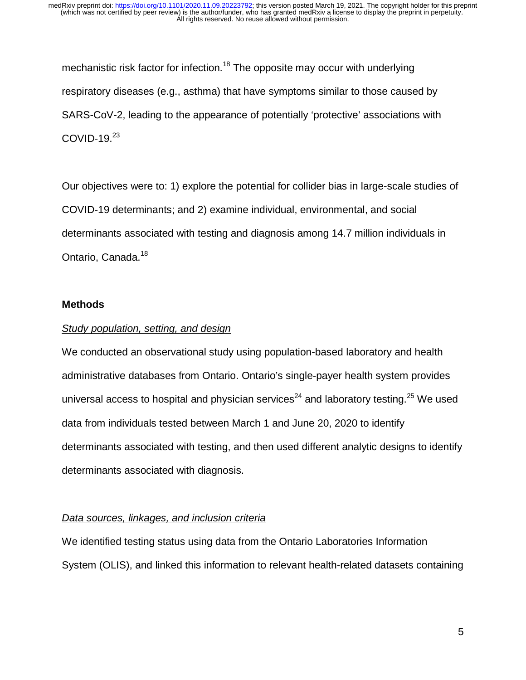mechanistic risk factor for infection.<sup>18</sup> The opposite may occur with underlying respiratory diseases (e.g., asthma) that have symptoms similar to those caused by SARS-CoV-2, leading to the appearance of potentially 'protective' associations with COVID-19. $23$ 

Our objectives were to: 1) explore the potential for collider bias in large-scale studies of COVID-19 determinants; and 2) examine individual, environmental, and social determinants associated with testing and diagnosis among 14.7 million individuals in Ontario, Canada.<sup>18</sup>

#### **Methods**

#### *Study population, setting, and design*

We conducted an observational study using population-based laboratory and health administrative databases from Ontario. Ontario's single-payer health system provides universal access to hospital and physician services $^{24}$  and laboratory testing.<sup>25</sup> We used data from individuals tested between March 1 and June 20, 2020 to identify determinants associated with testing, and then used different analytic designs to identify determinants associated with diagnosis.

### *Data sources, linkages, and inclusion criteria*

We identified testing status using data from the Ontario Laboratories Information System (OLIS), and linked this information to relevant health-related datasets containing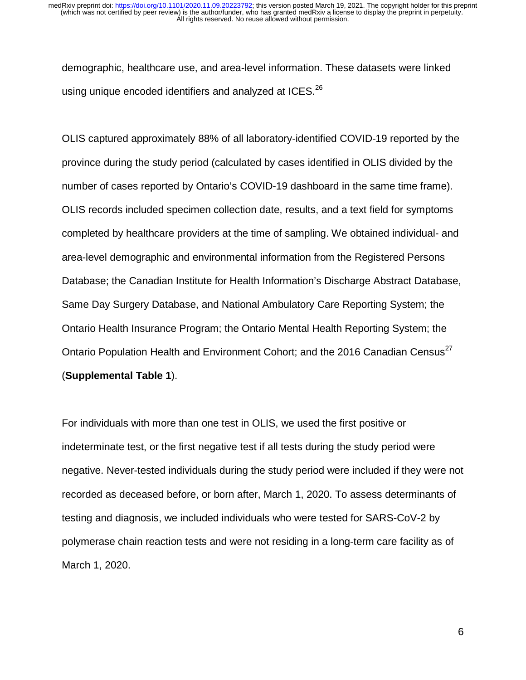demographic, healthcare use, and area-level information. These datasets were linked using unique encoded identifiers and analyzed at ICES.<sup>26</sup>

OLIS captured approximately 88% of all laboratory-identified COVID-19 reported by the province during the study period (calculated by cases identified in OLIS divided by the number of cases reported by Ontario's COVID-19 dashboard in the same time frame). OLIS records included specimen collection date, results, and a text field for symptoms completed by healthcare providers at the time of sampling. We obtained individual- and area-level demographic and environmental information from the Registered Persons Database; the Canadian Institute for Health Information's Discharge Abstract Database, Same Day Surgery Database, and National Ambulatory Care Reporting System; the Ontario Health Insurance Program; the Ontario Mental Health Reporting System; the Ontario Population Health and Environment Cohort; and the 2016 Canadian Census<sup>27</sup> (**Supplemental Table 1**).

For individuals with more than one test in OLIS, we used the first positive or indeterminate test, or the first negative test if all tests during the study period were negative. Never-tested individuals during the study period were included if they were not recorded as deceased before, or born after, March 1, 2020. To assess determinants of testing and diagnosis, we included individuals who were tested for SARS-CoV-2 by polymerase chain reaction tests and were not residing in a long-term care facility as of March 1, 2020.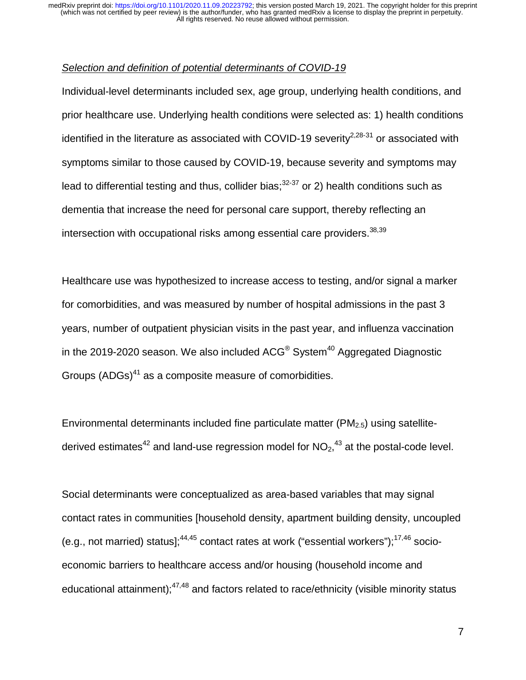### *Selection and definition of potential determinants of COVID-19*

Individual-level determinants included sex, age group, underlying health conditions, and prior healthcare use. Underlying health conditions were selected as: 1) health conditions identified in the literature as associated with COVID-19 severity<sup>2,28-31</sup> or associated with symptoms similar to those caused by COVID-19, because severity and symptoms may lead to differential testing and thus, collider bias; $32-37$  or 2) health conditions such as dementia that increase the need for personal care support, thereby reflecting an intersection with occupational risks among essential care providers.  $38,39$ 

Healthcare use was hypothesized to increase access to testing, and/or signal a marker for comorbidities, and was measured by number of hospital admissions in the past 3 years, number of outpatient physician visits in the past year, and influenza vaccination in the 2019-2020 season. We also included  $ACG^{\circ}$  System<sup>40</sup> Aggregated Diagnostic Groups  $(ADGs)^{41}$  as a composite measure of comorbidities.

Environmental determinants included fine particulate matter  $(PM<sub>2.5</sub>)$  using satellitederived estimates<sup>42</sup> and land-use regression model for  $NO<sub>2</sub>,<sup>43</sup>$  at the postal-code level.

Social determinants were conceptualized as area-based variables that may signal contact rates in communities [household density, apartment building density, uncoupled (e.g., not married) status]; $44,45$  contact rates at work ("essential workers"); $17,46$  socioeconomic barriers to healthcare access and/or housing (household income and educational attainment); $47,48$  and factors related to race/ethnicity (visible minority status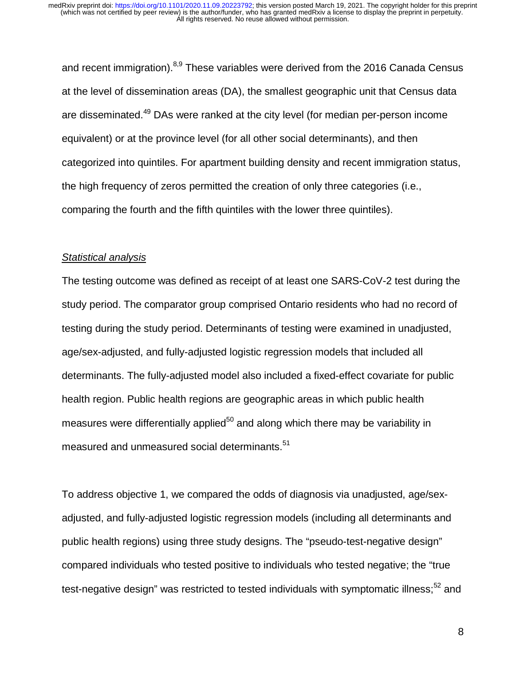and recent immigration). $8,9$  These variables were derived from the 2016 Canada Census at the level of dissemination areas (DA), the smallest geographic unit that Census data are disseminated.<sup>49</sup> DAs were ranked at the city level (for median per-person income equivalent) or at the province level (for all other social determinants), and then categorized into quintiles. For apartment building density and recent immigration status, the high frequency of zeros permitted the creation of only three categories (i.e., comparing the fourth and the fifth quintiles with the lower three quintiles).

### *Statistical analysis*

The testing outcome was defined as receipt of at least one SARS-CoV-2 test during the study period. The comparator group comprised Ontario residents who had no record of testing during the study period. Determinants of testing were examined in unadjusted, age/sex-adjusted, and fully-adjusted logistic regression models that included all determinants. The fully-adjusted model also included a fixed-effect covariate for public health region. Public health regions are geographic areas in which public health measures were differentially applied<sup>50</sup> and along which there may be variability in measured and unmeasured social determinants.<sup>51</sup>

To address objective 1, we compared the odds of diagnosis via unadjusted, age/sexadjusted, and fully-adjusted logistic regression models (including all determinants and public health regions) using three study designs. The "pseudo-test-negative design" compared individuals who tested positive to individuals who tested negative; the "true test-negative design" was restricted to tested individuals with symptomatic illness; $52$  and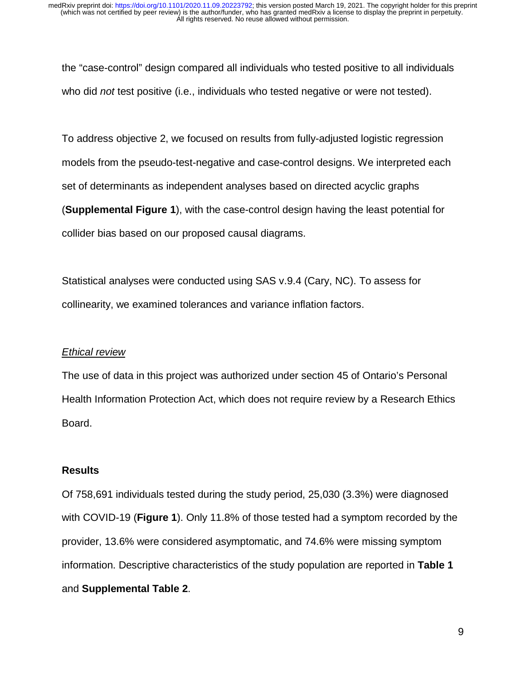the "case-control" design compared all individuals who tested positive to all individuals who did *not* test positive (i.e., individuals who tested negative or were not tested).

To address objective 2, we focused on results from fully-adjusted logistic regression models from the pseudo-test-negative and case-control designs. We interpreted each set of determinants as independent analyses based on directed acyclic graphs (**Supplemental Figure 1**), with the case-control design having the least potential for collider bias based on our proposed causal diagrams.

Statistical analyses were conducted using SAS v.9.4 (Cary, NC). To assess for collinearity, we examined tolerances and variance inflation factors.

#### *Ethical review*

The use of data in this project was authorized under section 45 of Ontario's Personal Health Information Protection Act, which does not require review by a Research Ethics Board.

#### **Results**

Of 758,691 individuals tested during the study period, 25,030 (3.3%) were diagnosed with COVID-19 (**Figure 1**). Only 11.8% of those tested had a symptom recorded by the provider, 13.6% were considered asymptomatic, and 74.6% were missing symptom information. Descriptive characteristics of the study population are reported in **Table 1** and **Supplemental Table 2**.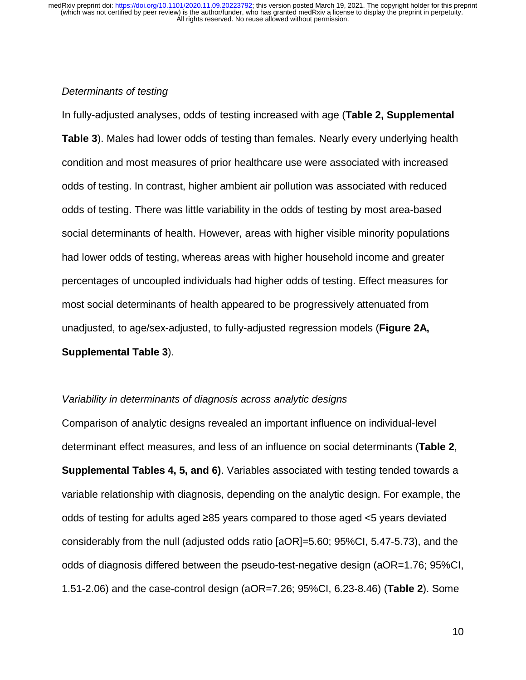#### *Determinants of testing*

In fully-adjusted analyses, odds of testing increased with age (**Table 2, Supplemental Table 3**). Males had lower odds of testing than females. Nearly every underlying health condition and most measures of prior healthcare use were associated with increased odds of testing. In contrast, higher ambient air pollution was associated with reduced odds of testing. There was little variability in the odds of testing by most area-based social determinants of health. However, areas with higher visible minority populations had lower odds of testing, whereas areas with higher household income and greater percentages of uncoupled individuals had higher odds of testing. Effect measures for most social determinants of health appeared to be progressively attenuated from unadjusted, to age/sex-adjusted, to fully-adjusted regression models (**Figure 2A, Supplemental Table 3**).

#### *Variability in determinants of diagnosis across analytic designs*

Comparison of analytic designs revealed an important influence on individual-level determinant effect measures, and less of an influence on social determinants (**Table 2**, **Supplemental Tables 4, 5, and 6)**. Variables associated with testing tended towards a variable relationship with diagnosis, depending on the analytic design. For example, the odds of testing for adults aged ≥85 years compared to those aged <5 years deviated considerably from the null (adjusted odds ratio [aOR]=5.60; 95%CI, 5.47-5.73), and the odds of diagnosis differed between the pseudo-test-negative design (aOR=1.76; 95%CI, 1.51-2.06) and the case-control design (aOR=7.26; 95%CI, 6.23-8.46) (**Table 2**). Some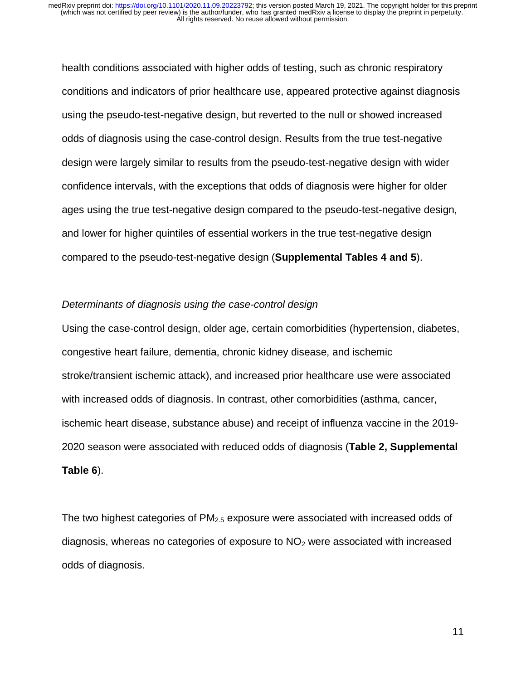health conditions associated with higher odds of testing, such as chronic respiratory conditions and indicators of prior healthcare use, appeared protective against diagnosis using the pseudo-test-negative design, but reverted to the null or showed increased odds of diagnosis using the case-control design. Results from the true test-negative design were largely similar to results from the pseudo-test-negative design with wider confidence intervals, with the exceptions that odds of diagnosis were higher for older ages using the true test-negative design compared to the pseudo-test-negative design, and lower for higher quintiles of essential workers in the true test-negative design compared to the pseudo-test-negative design (**Supplemental Tables 4 and 5**).

#### *Determinants of diagnosis using the case-control design*

Using the case-control design, older age, certain comorbidities (hypertension, diabetes, congestive heart failure, dementia, chronic kidney disease, and ischemic stroke/transient ischemic attack), and increased prior healthcare use were associated with increased odds of diagnosis. In contrast, other comorbidities (asthma, cancer, ischemic heart disease, substance abuse) and receipt of influenza vaccine in the 2019- 2020 season were associated with reduced odds of diagnosis (**Table 2, Supplemental Table 6**).

The two highest categories of PM<sub>2.5</sub> exposure were associated with increased odds of diagnosis, whereas no categories of exposure to  $NO<sub>2</sub>$  were associated with increased odds of diagnosis.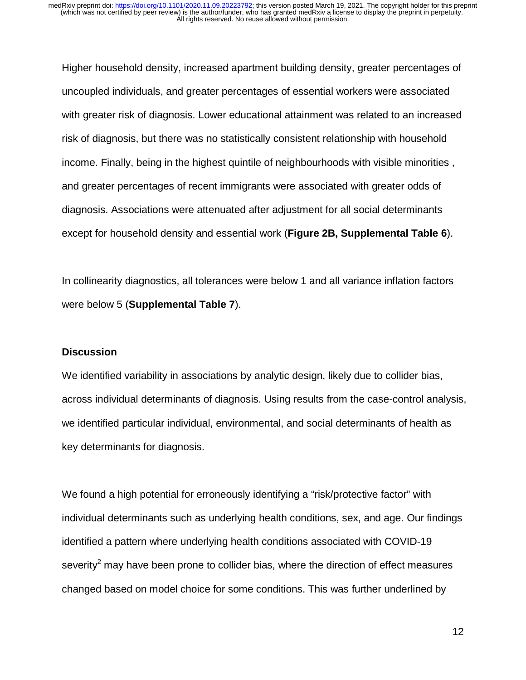Higher household density, increased apartment building density, greater percentages of uncoupled individuals, and greater percentages of essential workers were associated with greater risk of diagnosis. Lower educational attainment was related to an increased risk of diagnosis, but there was no statistically consistent relationship with household income. Finally, being in the highest quintile of neighbourhoods with visible minorities , and greater percentages of recent immigrants were associated with greater odds of diagnosis. Associations were attenuated after adjustment for all social determinants except for household density and essential work (**Figure 2B, Supplemental Table 6**).

In collinearity diagnostics, all tolerances were below 1 and all variance inflation factors were below 5 (**Supplemental Table 7**).

#### **Discussion**

We identified variability in associations by analytic design, likely due to collider bias, across individual determinants of diagnosis. Using results from the case-control analysis, we identified particular individual, environmental, and social determinants of health as key determinants for diagnosis.

We found a high potential for erroneously identifying a "risk/protective factor" with individual determinants such as underlying health conditions, sex, and age. Our findings identified a pattern where underlying health conditions associated with COVID-19 severity<sup>2</sup> may have been prone to collider bias, where the direction of effect measures changed based on model choice for some conditions. This was further underlined by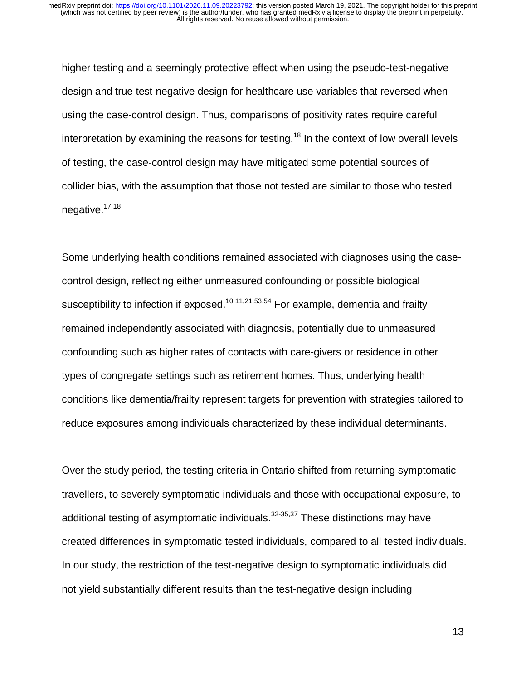higher testing and a seemingly protective effect when using the pseudo-test-negative design and true test-negative design for healthcare use variables that reversed when using the case-control design. Thus, comparisons of positivity rates require careful interpretation by examining the reasons for testing.<sup>18</sup> In the context of low overall levels of testing, the case-control design may have mitigated some potential sources of collider bias, with the assumption that those not tested are similar to those who tested negative. $17,18$ 

Some underlying health conditions remained associated with diagnoses using the casecontrol design, reflecting either unmeasured confounding or possible biological susceptibility to infection if exposed.<sup>10,11,21,53,54</sup> For example, dementia and frailty remained independently associated with diagnosis, potentially due to unmeasured confounding such as higher rates of contacts with care-givers or residence in other types of congregate settings such as retirement homes. Thus, underlying health conditions like dementia/frailty represent targets for prevention with strategies tailored to reduce exposures among individuals characterized by these individual determinants.

Over the study period, the testing criteria in Ontario shifted from returning symptomatic travellers, to severely symptomatic individuals and those with occupational exposure, to additional testing of asymptomatic individuals. $32-35,37$  These distinctions may have created differences in symptomatic tested individuals, compared to all tested individuals. In our study, the restriction of the test-negative design to symptomatic individuals did not yield substantially different results than the test-negative design including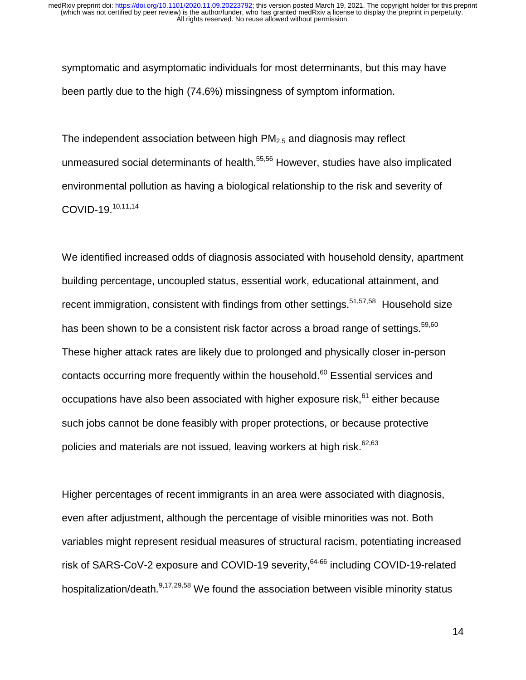symptomatic and asymptomatic individuals for most determinants, but this may have been partly due to the high (74.6%) missingness of symptom information.

The independent association between high  $PM<sub>2.5</sub>$  and diagnosis may reflect unmeasured social determinants of health.<sup>55,56</sup> However, studies have also implicated environmental pollution as having a biological relationship to the risk and severity of COVID-19.10,11,14

We identified increased odds of diagnosis associated with household density, apartment building percentage, uncoupled status, essential work, educational attainment, and recent immigration, consistent with findings from other settings.<sup>51,57,58</sup> Household size has been shown to be a consistent risk factor across a broad range of settings.<sup>59,60</sup> These higher attack rates are likely due to prolonged and physically closer in-person contacts occurring more frequently within the household.<sup>60</sup> Essential services and occupations have also been associated with higher exposure risk, $61$  either because such jobs cannot be done feasibly with proper protections, or because protective policies and materials are not issued, leaving workers at high risk. $62,63$ 

Higher percentages of recent immigrants in an area were associated with diagnosis, even after adjustment, although the percentage of visible minorities was not. Both variables might represent residual measures of structural racism, potentiating increased risk of SARS-CoV-2 exposure and COVID-19 severity, <sup>64-66</sup> including COVID-19-related hospitalization/death.<sup>9,17,29,58</sup> We found the association between visible minority status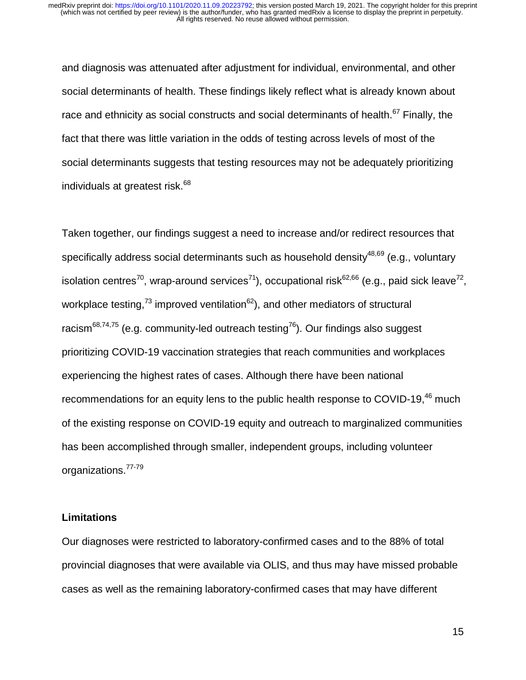and diagnosis was attenuated after adjustment for individual, environmental, and other social determinants of health. These findings likely reflect what is already known about race and ethnicity as social constructs and social determinants of health.<sup>67</sup> Finally, the fact that there was little variation in the odds of testing across levels of most of the social determinants suggests that testing resources may not be adequately prioritizing individuals at greatest risk.<sup>68</sup>

Taken together, our findings suggest a need to increase and/or redirect resources that specifically address social determinants such as household density $48,69$  (e.g., voluntary isolation centres<sup>70</sup>, wrap-around services<sup>71</sup>), occupational risk<sup>62,66</sup> (e.g., paid sick leave<sup>72</sup>, workplace testing,<sup>73</sup> improved ventilation<sup>62</sup>), and other mediators of structural racism<sup>68,74,75</sup> (e.g. community-led outreach testing<sup>76</sup>). Our findings also suggest prioritizing COVID-19 vaccination strategies that reach communities and workplaces experiencing the highest rates of cases. Although there have been national recommendations for an equity lens to the public health response to COVID-19,<sup>46</sup> much of the existing response on COVID-19 equity and outreach to marginalized communities has been accomplished through smaller, independent groups, including volunteer organizations.77-79

### **Limitations**

Our diagnoses were restricted to laboratory-confirmed cases and to the 88% of total provincial diagnoses that were available via OLIS, and thus may have missed probable cases as well as the remaining laboratory-confirmed cases that may have different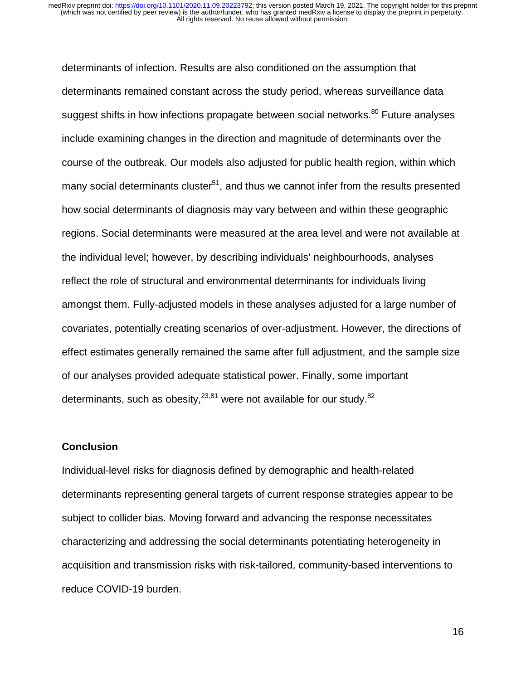determinants of infection. Results are also conditioned on the assumption that determinants remained constant across the study period, whereas surveillance data suggest shifts in how infections propagate between social networks.<sup>80</sup> Future analyses include examining changes in the direction and magnitude of determinants over the course of the outbreak. Our models also adjusted for public health region, within which many social determinants cluster<sup>51</sup>, and thus we cannot infer from the results presented how social determinants of diagnosis may vary between and within these geographic regions. Social determinants were measured at the area level and were not available at the individual level; however, by describing individuals' neighbourhoods, analyses reflect the role of structural and environmental determinants for individuals living amongst them. Fully-adjusted models in these analyses adjusted for a large number of covariates, potentially creating scenarios of over-adjustment. However, the directions of effect estimates generally remained the same after full adjustment, and the sample size of our analyses provided adequate statistical power. Finally, some important determinants, such as obesity,  $23,81$  were not available for our study.  $82$ 

#### **Conclusion**

Individual-level risks for diagnosis defined by demographic and health-related determinants representing general targets of current response strategies appear to be subject to collider bias. Moving forward and advancing the response necessitates characterizing and addressing the social determinants potentiating heterogeneity in acquisition and transmission risks with risk-tailored, community-based interventions to reduce COVID-19 burden.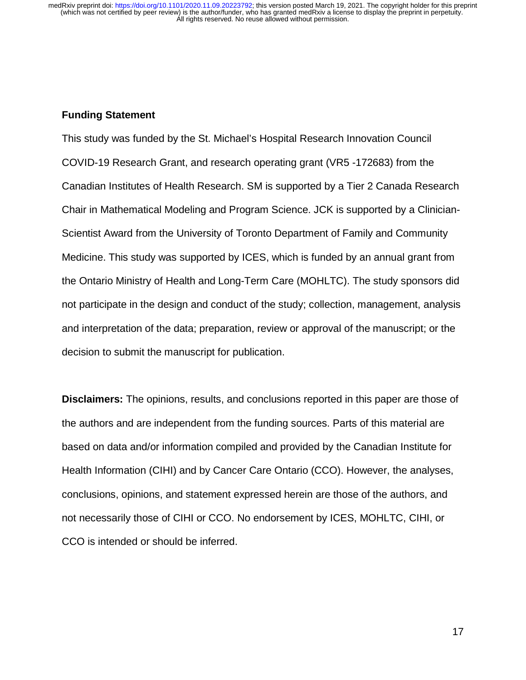## **Funding Statement**

This study was funded by the St. Michael's Hospital Research Innovation Council COVID-19 Research Grant, and research operating grant (VR5 -172683) from the Canadian Institutes of Health Research. SM is supported by a Tier 2 Canada Research Chair in Mathematical Modeling and Program Science. JCK is supported by a Clinician-Scientist Award from the University of Toronto Department of Family and Community Medicine. This study was supported by ICES, which is funded by an annual grant from the Ontario Ministry of Health and Long-Term Care (MOHLTC). The study sponsors did not participate in the design and conduct of the study; collection, management, analysis and interpretation of the data; preparation, review or approval of the manuscript; or the decision to submit the manuscript for publication.

**Disclaimers:** The opinions, results, and conclusions reported in this paper are those of the authors and are independent from the funding sources. Parts of this material are based on data and/or information compiled and provided by the Canadian Institute for Health Information (CIHI) and by Cancer Care Ontario (CCO). However, the analyses, conclusions, opinions, and statement expressed herein are those of the authors, and not necessarily those of CIHI or CCO. No endorsement by ICES, MOHLTC, CIHI, or CCO is intended or should be inferred.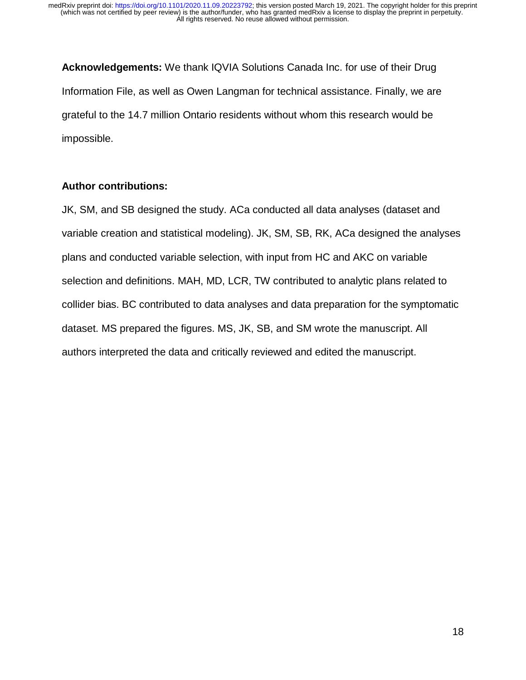**Acknowledgements:** We thank IQVIA Solutions Canada Inc. for use of their Drug Information File, as well as Owen Langman for technical assistance. Finally, we are grateful to the 14.7 million Ontario residents without whom this research would be impossible.

## **Author contributions:**

JK, SM, and SB designed the study. ACa conducted all data analyses (dataset and variable creation and statistical modeling). JK, SM, SB, RK, ACa designed the analyses plans and conducted variable selection, with input from HC and AKC on variable selection and definitions. MAH, MD, LCR, TW contributed to analytic plans related to collider bias. BC contributed to data analyses and data preparation for the symptomatic dataset. MS prepared the figures. MS, JK, SB, and SM wrote the manuscript. All authors interpreted the data and critically reviewed and edited the manuscript.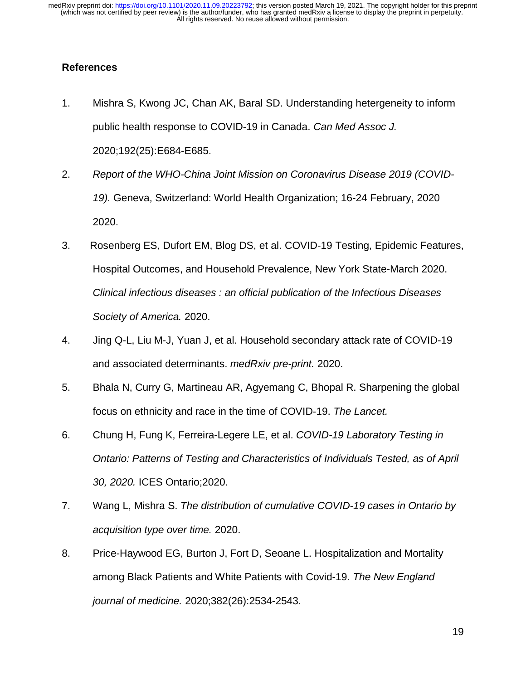## **References**

- 1. Mishra S, Kwong JC, Chan AK, Baral SD. Understanding hetergeneity to inform public health response to COVID-19 in Canada. *Can Med Assoc J.*  2020;192(25):E684-E685.
- 2. *Report of the WHO-China Joint Mission on Coronavirus Disease 2019 (COVID-19).* Geneva, Switzerland: World Health Organization; 16-24 February, 2020 2020.
- 3. Rosenberg ES, Dufort EM, Blog DS, et al. COVID-19 Testing, Epidemic Features, Hospital Outcomes, and Household Prevalence, New York State-March 2020. *Clinical infectious diseases : an official publication of the Infectious Diseases Society of America.* 2020.
- 4. Jing Q-L, Liu M-J, Yuan J, et al. Household secondary attack rate of COVID-19 and associated determinants. *medRxiv pre-print.* 2020.
- 5. Bhala N, Curry G, Martineau AR, Agyemang C, Bhopal R. Sharpening the global focus on ethnicity and race in the time of COVID-19. *The Lancet.*
- 6. Chung H, Fung K, Ferreira-Legere LE, et al. *COVID-19 Laboratory Testing in Ontario: Patterns of Testing and Characteristics of Individuals Tested, as of April 30, 2020.* ICES Ontario;2020.
- 7. Wang L, Mishra S. *The distribution of cumulative COVID-19 cases in Ontario by acquisition type over time.* 2020.
- 8. Price-Haywood EG, Burton J, Fort D, Seoane L. Hospitalization and Mortality among Black Patients and White Patients with Covid-19. *The New England journal of medicine.* 2020;382(26):2534-2543.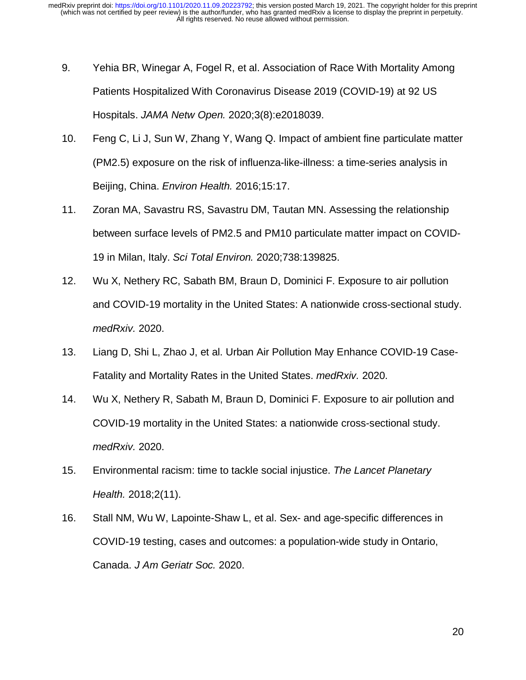- 9. Yehia BR, Winegar A, Fogel R, et al. Association of Race With Mortality Among Patients Hospitalized With Coronavirus Disease 2019 (COVID-19) at 92 US Hospitals. *JAMA Netw Open.* 2020;3(8):e2018039.
- 10. Feng C, Li J, Sun W, Zhang Y, Wang Q. Impact of ambient fine particulate matter (PM2.5) exposure on the risk of influenza-like-illness: a time-series analysis in Beijing, China. *Environ Health.* 2016;15:17.
- 11. Zoran MA, Savastru RS, Savastru DM, Tautan MN. Assessing the relationship between surface levels of PM2.5 and PM10 particulate matter impact on COVID-19 in Milan, Italy. *Sci Total Environ.* 2020;738:139825.
- 12. Wu X, Nethery RC, Sabath BM, Braun D, Dominici F. Exposure to air pollution and COVID-19 mortality in the United States: A nationwide cross-sectional study. *medRxiv.* 2020.
- 13. Liang D, Shi L, Zhao J, et al. Urban Air Pollution May Enhance COVID-19 Case-Fatality and Mortality Rates in the United States. *medRxiv.* 2020.
- 14. Wu X, Nethery R, Sabath M, Braun D, Dominici F. Exposure to air pollution and COVID-19 mortality in the United States: a nationwide cross-sectional study. *medRxiv.* 2020.
- 15. Environmental racism: time to tackle social injustice. *The Lancet Planetary Health.* 2018;2(11).
- 16. Stall NM, Wu W, Lapointe-Shaw L, et al. Sex- and age-specific differences in COVID-19 testing, cases and outcomes: a population-wide study in Ontario, Canada. *J Am Geriatr Soc.* 2020.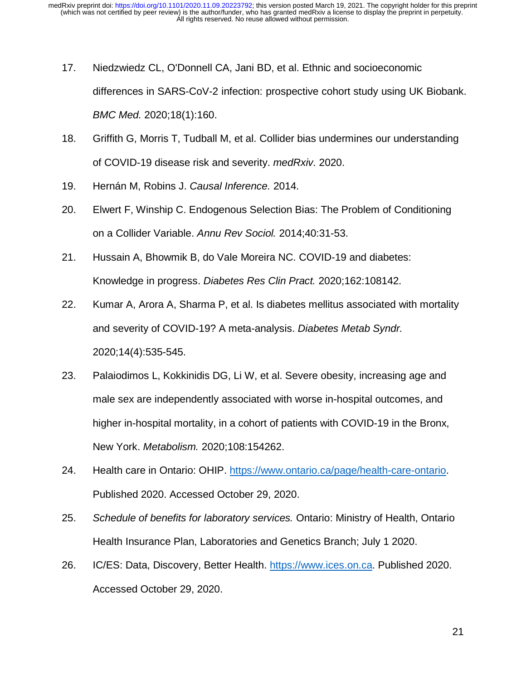- 17. Niedzwiedz CL, O'Donnell CA, Jani BD, et al. Ethnic and socioeconomic differences in SARS-CoV-2 infection: prospective cohort study using UK Biobank. *BMC Med.* 2020;18(1):160.
- 18. Griffith G, Morris T, Tudball M, et al. Collider bias undermines our understanding of COVID-19 disease risk and severity. *medRxiv.* 2020.
- 19. Hernán M, Robins J. *Causal Inference.* 2014.
- 20. Elwert F, Winship C. Endogenous Selection Bias: The Problem of Conditioning on a Collider Variable. *Annu Rev Sociol.* 2014;40:31-53.
- 21. Hussain A, Bhowmik B, do Vale Moreira NC. COVID-19 and diabetes: Knowledge in progress. *Diabetes Res Clin Pract.* 2020;162:108142.
- 22. Kumar A, Arora A, Sharma P, et al. Is diabetes mellitus associated with mortality and severity of COVID-19? A meta-analysis. *Diabetes Metab Syndr.*  2020;14(4):535-545.
- 23. Palaiodimos L, Kokkinidis DG, Li W, et al. Severe obesity, increasing age and male sex are independently associated with worse in-hospital outcomes, and higher in-hospital mortality, in a cohort of patients with COVID-19 in the Bronx, New York. *Metabolism.* 2020;108:154262.
- 24. Health care in Ontario: OHIP. https://www.ontario.ca/page/health-care-ontario. Published 2020. Accessed October 29, 2020.
- 25. *Schedule of benefits for laboratory services.* Ontario: Ministry of Health, Ontario Health Insurance Plan, Laboratories and Genetics Branch; July 1 2020.
- 26. IC/ES: Data, Discovery, Better Health. https://www.ices.on.ca. Published 2020. Accessed October 29, 2020.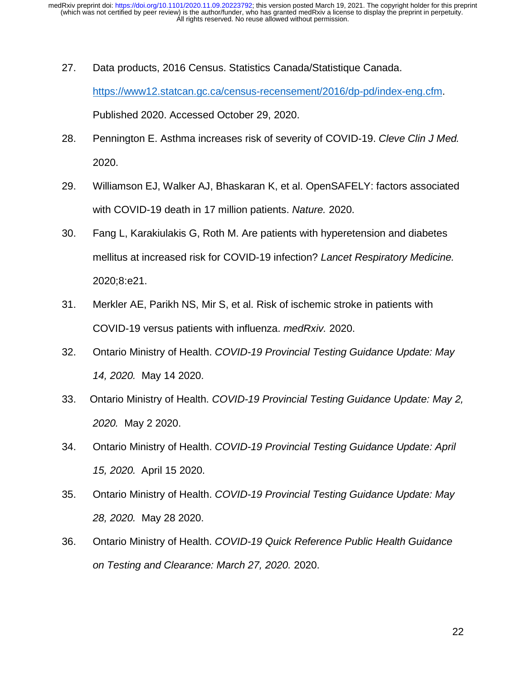- 27. Data products, 2016 Census. Statistics Canada/Statistique Canada. https://www12.statcan.gc.ca/census-recensement/2016/dp-pd/index-eng.cfm. Published 2020. Accessed October 29, 2020.
- 28. Pennington E. Asthma increases risk of severity of COVID-19. *Cleve Clin J Med.*  2020.
- 29. Williamson EJ, Walker AJ, Bhaskaran K, et al. OpenSAFELY: factors associated with COVID-19 death in 17 million patients. *Nature.* 2020.
- 30. Fang L, Karakiulakis G, Roth M. Are patients with hyperetension and diabetes mellitus at increased risk for COVID-19 infection? *Lancet Respiratory Medicine.*  2020;8:e21.
- 31. Merkler AE, Parikh NS, Mir S, et al. Risk of ischemic stroke in patients with COVID-19 versus patients with influenza. *medRxiv.* 2020.
- 32. Ontario Ministry of Health. *COVID-19 Provincial Testing Guidance Update: May 14, 2020.* May 14 2020.
- 33. Ontario Ministry of Health. *COVID-19 Provincial Testing Guidance Update: May 2, 2020.* May 2 2020.
- 34. Ontario Ministry of Health. *COVID-19 Provincial Testing Guidance Update: April 15, 2020.* April 15 2020.
- 35. Ontario Ministry of Health. *COVID-19 Provincial Testing Guidance Update: May 28, 2020.* May 28 2020.
- 36. Ontario Ministry of Health. *COVID-19 Quick Reference Public Health Guidance on Testing and Clearance: March 27, 2020.* 2020.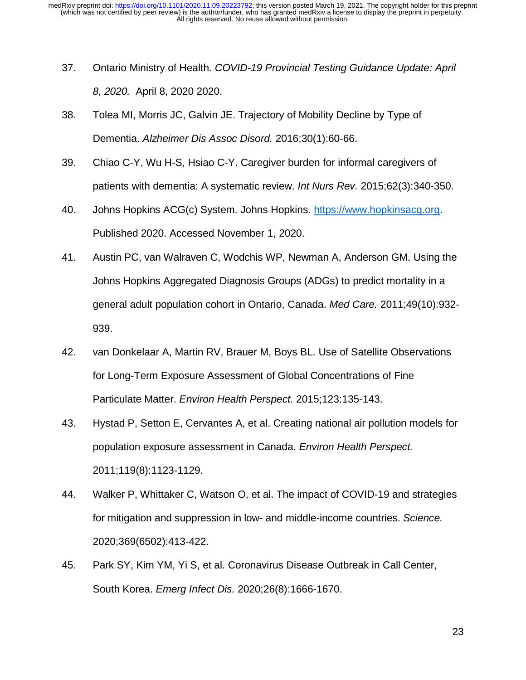- 37. Ontario Ministry of Health. *COVID-19 Provincial Testing Guidance Update: April 8, 2020.* April 8, 2020 2020.
- 38. Tolea MI, Morris JC, Galvin JE. Trajectory of Mobility Decline by Type of Dementia. *Alzheimer Dis Assoc Disord.* 2016;30(1):60-66.
- 39. Chiao C-Y, Wu H-S, Hsiao C-Y. Caregiver burden for informal caregivers of patients with dementia: A systematic review. *Int Nurs Rev.* 2015;62(3):340-350.
- 40. Johns Hopkins ACG(c) System. Johns Hopkins. https://www.hopkinsacg.org. Published 2020. Accessed November 1, 2020.
- 41. Austin PC, van Walraven C, Wodchis WP, Newman A, Anderson GM. Using the Johns Hopkins Aggregated Diagnosis Groups (ADGs) to predict mortality in a general adult population cohort in Ontario, Canada. *Med Care.* 2011;49(10):932- 939.
- 42. van Donkelaar A, Martin RV, Brauer M, Boys BL. Use of Satellite Observations for Long-Term Exposure Assessment of Global Concentrations of Fine Particulate Matter. *Environ Health Perspect.* 2015;123:135-143.
- 43. Hystad P, Setton E, Cervantes A, et al. Creating national air pollution models for population exposure assessment in Canada. *Environ Health Perspect.*  2011;119(8):1123-1129.
- 44. Walker P, Whittaker C, Watson O, et al. The impact of COVID-19 and strategies for mitigation and suppression in low- and middle-income countries. *Science.*  2020;369(6502):413-422.
- 45. Park SY, Kim YM, Yi S, et al. Coronavirus Disease Outbreak in Call Center, South Korea. *Emerg Infect Dis.* 2020;26(8):1666-1670.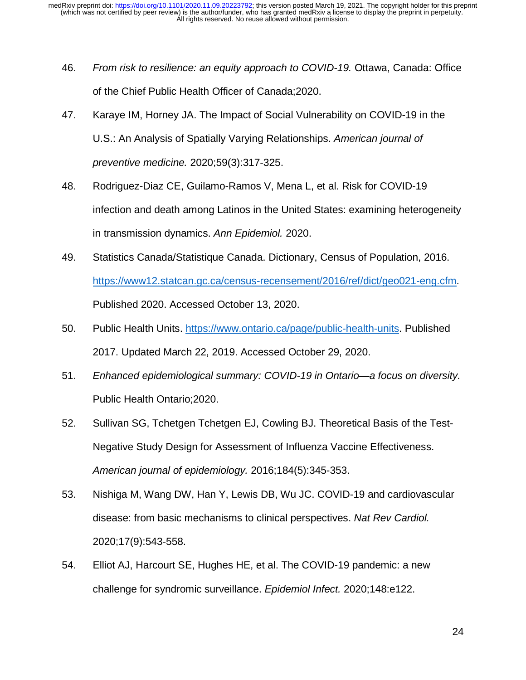- 46. *From risk to resilience: an equity approach to COVID-19.* Ottawa, Canada: Office of the Chief Public Health Officer of Canada;2020.
- 47. Karaye IM, Horney JA. The Impact of Social Vulnerability on COVID-19 in the U.S.: An Analysis of Spatially Varying Relationships. *American journal of preventive medicine.* 2020;59(3):317-325.
- 48. Rodriguez-Diaz CE, Guilamo-Ramos V, Mena L, et al. Risk for COVID-19 infection and death among Latinos in the United States: examining heterogeneity in transmission dynamics. *Ann Epidemiol.* 2020.
- 49. Statistics Canada/Statistique Canada. Dictionary, Census of Population, 2016. https://www12.statcan.gc.ca/census-recensement/2016/ref/dict/geo021-eng.cfm. Published 2020. Accessed October 13, 2020.
- 50. Public Health Units. https://www.ontario.ca/page/public-health-units. Published 2017. Updated March 22, 2019. Accessed October 29, 2020.
- 51. *Enhanced epidemiological summary: COVID-19 in Ontario—a focus on diversity.* Public Health Ontario;2020.
- 52. Sullivan SG, Tchetgen Tchetgen EJ, Cowling BJ. Theoretical Basis of the Test-Negative Study Design for Assessment of Influenza Vaccine Effectiveness. *American journal of epidemiology.* 2016;184(5):345-353.
- 53. Nishiga M, Wang DW, Han Y, Lewis DB, Wu JC. COVID-19 and cardiovascular disease: from basic mechanisms to clinical perspectives. *Nat Rev Cardiol.*  2020;17(9):543-558.
- 54. Elliot AJ, Harcourt SE, Hughes HE, et al. The COVID-19 pandemic: a new challenge for syndromic surveillance. *Epidemiol Infect.* 2020;148:e122.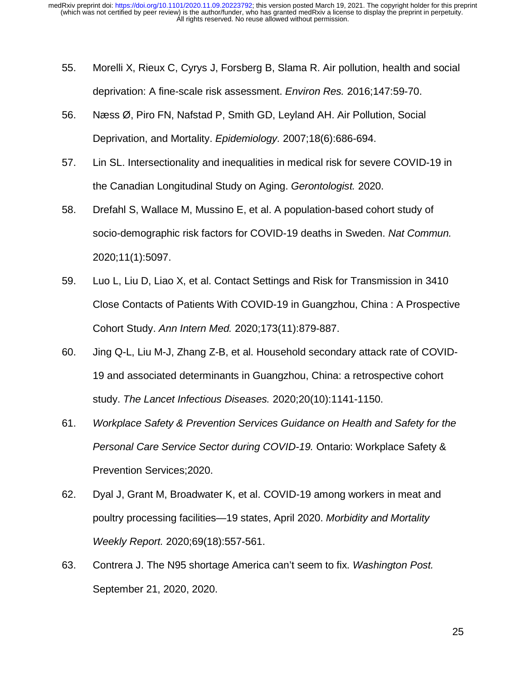- 55. Morelli X, Rieux C, Cyrys J, Forsberg B, Slama R. Air pollution, health and social deprivation: A fine-scale risk assessment. *Environ Res.* 2016;147:59-70.
- 56. Næss Ø, Piro FN, Nafstad P, Smith GD, Leyland AH. Air Pollution, Social Deprivation, and Mortality. *Epidemiology.* 2007;18(6):686-694.
- 57. Lin SL. Intersectionality and inequalities in medical risk for severe COVID-19 in the Canadian Longitudinal Study on Aging. *Gerontologist.* 2020.
- 58. Drefahl S, Wallace M, Mussino E, et al. A population-based cohort study of socio-demographic risk factors for COVID-19 deaths in Sweden. *Nat Commun.*  2020;11(1):5097.
- 59. Luo L, Liu D, Liao X, et al. Contact Settings and Risk for Transmission in 3410 Close Contacts of Patients With COVID-19 in Guangzhou, China : A Prospective Cohort Study. *Ann Intern Med.* 2020;173(11):879-887.
- 60. Jing Q-L, Liu M-J, Zhang Z-B, et al. Household secondary attack rate of COVID-19 and associated determinants in Guangzhou, China: a retrospective cohort study. *The Lancet Infectious Diseases.* 2020;20(10):1141-1150.
- 61. *Workplace Safety & Prevention Services Guidance on Health and Safety for the Personal Care Service Sector during COVID-19.* Ontario: Workplace Safety & Prevention Services;2020.
- 62. Dyal J, Grant M, Broadwater K, et al. COVID-19 among workers in meat and poultry processing facilities—19 states, April 2020. *Morbidity and Mortality Weekly Report.* 2020;69(18):557-561.
- 63. Contrera J. The N95 shortage America can't seem to fix. *Washington Post.* September 21, 2020, 2020.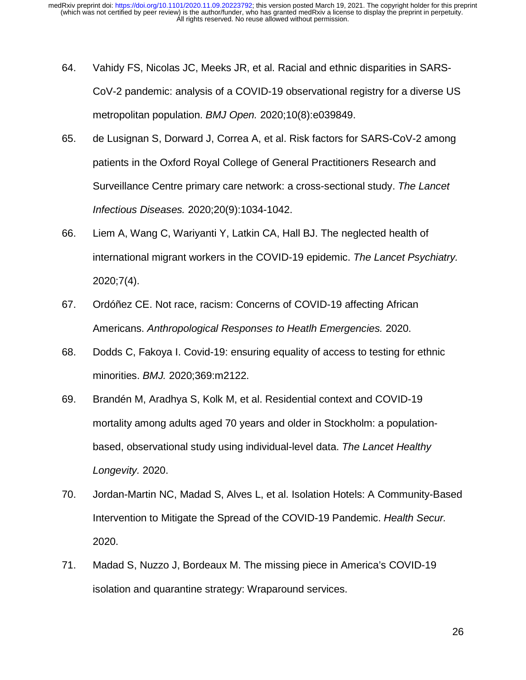- 64. Vahidy FS, Nicolas JC, Meeks JR, et al. Racial and ethnic disparities in SARS-CoV-2 pandemic: analysis of a COVID-19 observational registry for a diverse US metropolitan population. *BMJ Open.* 2020;10(8):e039849.
- 65. de Lusignan S, Dorward J, Correa A, et al. Risk factors for SARS-CoV-2 among patients in the Oxford Royal College of General Practitioners Research and Surveillance Centre primary care network: a cross-sectional study. *The Lancet Infectious Diseases.* 2020;20(9):1034-1042.
- 66. Liem A, Wang C, Wariyanti Y, Latkin CA, Hall BJ. The neglected health of international migrant workers in the COVID-19 epidemic. *The Lancet Psychiatry.*  2020;7(4).
- 67. Ordóñez CE. Not race, racism: Concerns of COVID-19 affecting African Americans. *Anthropological Responses to Heatlh Emergencies.* 2020.
- 68. Dodds C, Fakoya I. Covid-19: ensuring equality of access to testing for ethnic minorities. *BMJ.* 2020;369:m2122.
- 69. Brandén M, Aradhya S, Kolk M, et al. Residential context and COVID-19 mortality among adults aged 70 years and older in Stockholm: a populationbased, observational study using individual-level data. *The Lancet Healthy Longevity.* 2020.
- 70. Jordan-Martin NC, Madad S, Alves L, et al. Isolation Hotels: A Community-Based Intervention to Mitigate the Spread of the COVID-19 Pandemic. *Health Secur.*  2020.
- 71. Madad S, Nuzzo J, Bordeaux M. The missing piece in America's COVID-19 isolation and quarantine strategy: Wraparound services.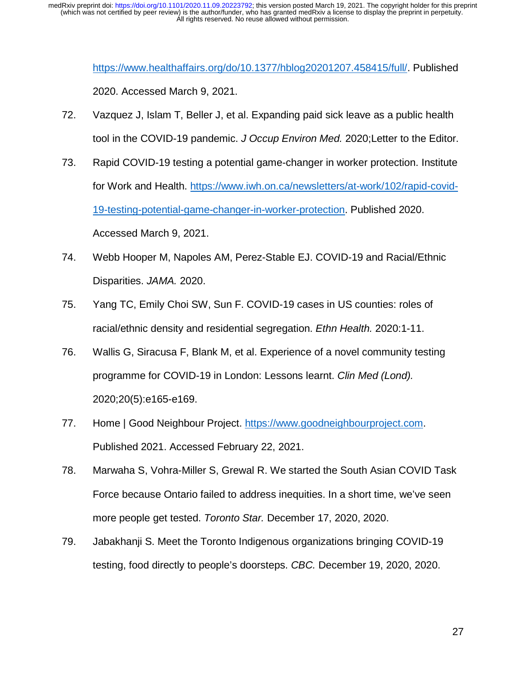> https://www.healthaffairs.org/do/10.1377/hblog20201207.458415/full/. Published 2020. Accessed March 9, 2021.

- 72. Vazquez J, Islam T, Beller J, et al. Expanding paid sick leave as a public health tool in the COVID-19 pandemic. *J Occup Environ Med.* 2020;Letter to the Editor.
- 73. Rapid COVID-19 testing a potential game-changer in worker protection. Institute for Work and Health. https://www.iwh.on.ca/newsletters/at-work/102/rapid-covid-19-testing-potential-game-changer-in-worker-protection. Published 2020. Accessed March 9, 2021.
- 74. Webb Hooper M, Napoles AM, Perez-Stable EJ. COVID-19 and Racial/Ethnic Disparities. *JAMA.* 2020.
- 75. Yang TC, Emily Choi SW, Sun F. COVID-19 cases in US counties: roles of racial/ethnic density and residential segregation. *Ethn Health.* 2020:1-11.
- 76. Wallis G, Siracusa F, Blank M, et al. Experience of a novel community testing programme for COVID-19 in London: Lessons learnt. *Clin Med (Lond).*  2020;20(5):e165-e169.
- 77. Home | Good Neighbour Project. https://www.goodneighbourproject.com. Published 2021. Accessed February 22, 2021.
- 78. Marwaha S, Vohra-Miller S, Grewal R. We started the South Asian COVID Task Force because Ontario failed to address inequities. In a short time, we've seen more people get tested. *Toronto Star.* December 17, 2020, 2020.
- 79. Jabakhanji S. Meet the Toronto Indigenous organizations bringing COVID-19 testing, food directly to people's doorsteps. *CBC.* December 19, 2020, 2020.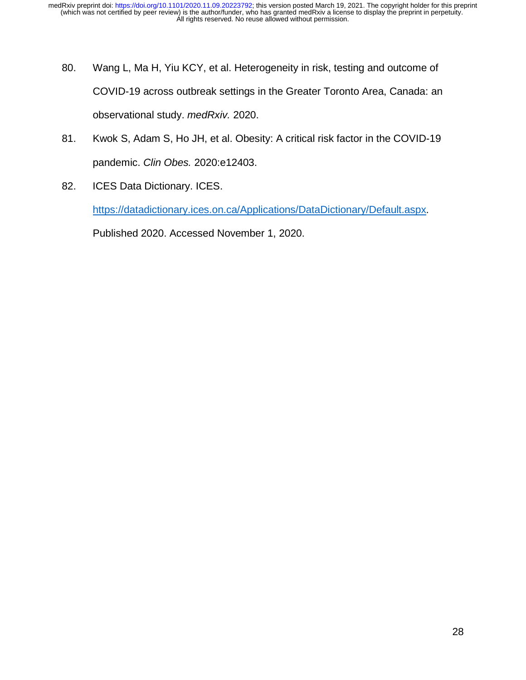- 80. Wang L, Ma H, Yiu KCY, et al. Heterogeneity in risk, testing and outcome of COVID-19 across outbreak settings in the Greater Toronto Area, Canada: an observational study. *medRxiv.* 2020.
- 81. Kwok S, Adam S, Ho JH, et al. Obesity: A critical risk factor in the COVID-19 pandemic. *Clin Obes.* 2020:e12403.
- 82. ICES Data Dictionary. ICES.

https://datadictionary.ices.on.ca/Applications/DataDictionary/Default.aspx.

Published 2020. Accessed November 1, 2020.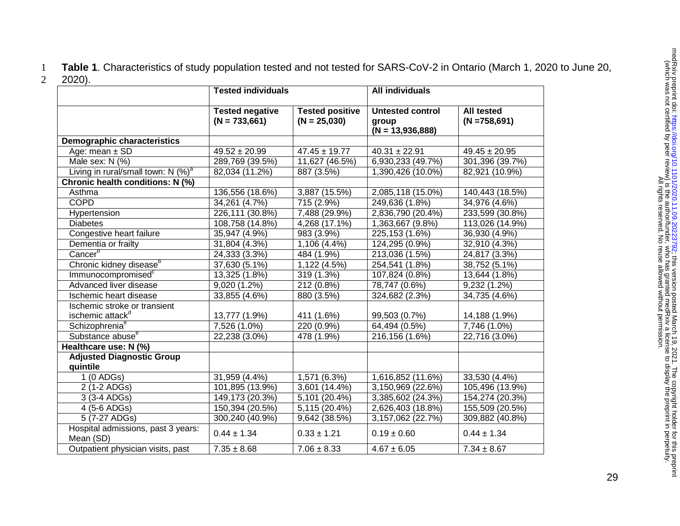1 **Table 1**. Characteristics of study population tested and not tested for SARS-CoV-2 in Ontario (March 1, 2020 to June 20, 2 2020).

|                                                  | <b>Tested individuals</b>                 |                                          | <b>All individuals</b>                                 |                                       |
|--------------------------------------------------|-------------------------------------------|------------------------------------------|--------------------------------------------------------|---------------------------------------|
|                                                  | <b>Tested negative</b><br>$(N = 733,661)$ | <b>Tested positive</b><br>$(N = 25,030)$ | <b>Untested control</b><br>group<br>$(N = 13,936,888)$ | <b>All tested</b><br>$(N = 758, 691)$ |
| <b>Demographic characteristics</b>               |                                           |                                          |                                                        |                                       |
| Age: mean $\pm$ SD                               | $49.52 \pm 20.99$                         | $47.45 \pm 19.77$                        | $40.31 \pm 22.91$                                      | $49.45 \pm 20.95$                     |
| Male sex: N (%)                                  | 289,769 (39.5%)                           | 11,627 (46.5%)                           | 6,930,233 (49.7%)                                      | 301,396 (39.7%)                       |
| Living in rural/small town: $N$ (%) <sup>a</sup> | 82,034 (11.2%)                            | 887 (3.5%)                               | 1,390,426 (10.0%)                                      | 82,921 (10.9%)                        |
| Chronic health conditions: N (%)                 |                                           |                                          |                                                        |                                       |
| Asthma                                           | 136,556 (18.6%)                           | 3,887 (15.5%)                            | 2,085,118 (15.0%)                                      | 140,443 (18.5%)                       |
| <b>COPD</b>                                      | 34,261 (4.7%)                             | 715 (2.9%)                               | 249,636 (1.8%)                                         | 34,976 (4.6%)                         |
| Hypertension                                     | 226,111 (30.8%)                           | 7,488 (29.9%)                            | 2,836,790 (20.4%)                                      | 233,599 (30.8%)                       |
| <b>Diabetes</b>                                  | 108,758 (14.8%)                           | 4,268 (17.1%)                            | 1,363,667 (9.8%)                                       | 113,026 (14.9%)                       |
| Congestive heart failure                         | 35,947 (4.9%)                             | 983 (3.9%)                               | 225,153 (1.6%)                                         | 36,930 (4.9%)                         |
| Dementia or frailty                              | 31,804 (4.3%)                             | 1,106 (4.4%)                             | 124,295 (0.9%)                                         | 32,910 (4.3%)                         |
| Cancer <sup>b</sup>                              | 24,333 (3.3%)                             | 484 (1.9%)                               | 213,036 (1.5%)                                         | 24,817 (3.3%)                         |
| Chronic kidney disease <sup>b</sup>              | 37,630 (5.1%)                             | 1,122 (4.5%)                             | 254,541 (1.8%)                                         | 38,752 (5.1%)                         |
| Immunocompromised <sup>c</sup>                   | 13,325 (1.8%)                             | 319 (1.3%)                               | 107,824 (0.8%)                                         | 13,644 (1.8%)                         |
| Advanced liver disease                           | 9,020 (1.2%)                              | 212 (0.8%)                               | 78,747 (0.6%)                                          | 9,232 (1.2%)                          |
| Ischemic heart disease                           | 33,855 (4.6%)                             | 880 (3.5%)                               | 324,682 (2.3%)                                         | 34,735 (4.6%)                         |
| Ischemic stroke or transient                     |                                           |                                          |                                                        |                                       |
| ischemic attack <sup>d</sup>                     | 13,777 (1.9%)                             | 411 (1.6%)                               | 99,503 (0.7%)                                          | 14,188 (1.9%)                         |
| Schizophrenia <sup>e</sup>                       | 7,526 (1.0%)                              | 220 (0.9%)                               | 64,494 (0.5%)                                          | 7,746 (1.0%)                          |
| Substance abuse <sup>e</sup>                     | 22,238 (3.0%)                             | 478 (1.9%)                               | 216,156 (1.6%)                                         | 22,716 (3.0%)                         |
| Healthcare use: N (%)                            |                                           |                                          |                                                        |                                       |
| <b>Adjusted Diagnostic Group</b><br>quintile     |                                           |                                          |                                                        |                                       |
| $1(0$ ADGs)                                      | 31,959 (4.4%)                             | 1,571 (6.3%)                             | 1,616,852 (11.6%)                                      | 33,530 (4.4%)                         |
| 2 (1-2 ADGs)                                     | 101,895 (13.9%)                           | 3,601 (14.4%)                            | 3,150,969 (22.6%)                                      | 105,496 (13.9%)                       |
| 3 (3-4 ADGs)                                     | 149,173 (20.3%)                           | 5,101 (20.4%)                            | 3,385,602 (24.3%)                                      | 154,274 (20.3%)                       |
| 4 (5-6 ADGs)                                     | 150,394 (20.5%)                           | $\overline{5,115}$ (20.4%)               | 2,626,403 (18.8%)                                      | 155,509 (20.5%)                       |
| 5 (7-27 ADGs)                                    | 300,240 (40.9%)                           | 9,642 (38.5%)                            | 3,157,062 (22.7%)                                      | 309,882 (40.8%)                       |
| Hospital admissions, past 3 years:<br>Mean (SD)  | $0.44 \pm 1.34$                           | $0.33 \pm 1.21$                          | $0.19 \pm 0.60$                                        | $0.44 \pm 1.34$                       |
| Outpatient physician visits, past                | $7.35 \pm 8.68$                           | $7.06 \pm 8.33$                          | $4.67 \pm 6.05$                                        | $7.34 \pm 8.67$                       |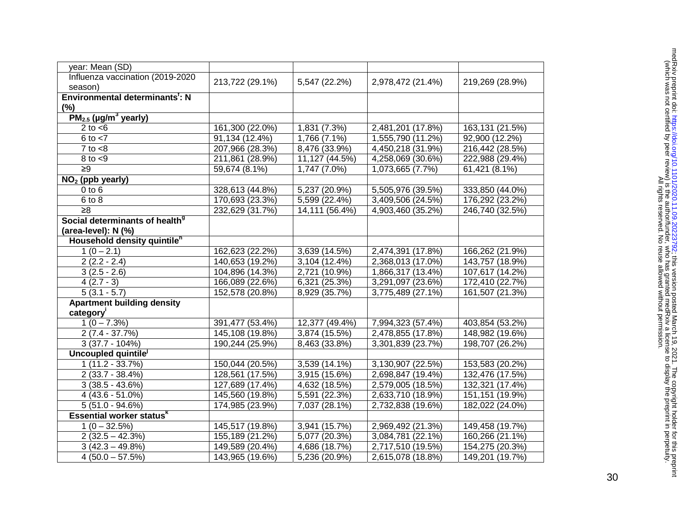| year: Mean (SD)                             |                 |                |                   |                  |
|---------------------------------------------|-----------------|----------------|-------------------|------------------|
| Influenza vaccination (2019-2020<br>season) | 213,722 (29.1%) | 5,547 (22.2%)  | 2,978,472 (21.4%) | 219,269 (28.9%)  |
| Environmental determinants <sup>t</sup> : N |                 |                |                   |                  |
| (%)                                         |                 |                |                   |                  |
| $PM_{2.5}$ (µg/m <sup>3</sup> yearly)       |                 |                |                   |                  |
| 2 to $<$ 6                                  | 161,300 (22.0%) | 1,831 (7.3%)   | 2,481,201 (17.8%) | 163,131 (21.5%)  |
| $6$ to $<$ 7                                | 91,134 (12.4%)  | 1,766 (7.1%)   | 1,555,790 (11.2%) | 92,900 (12.2%)   |
| $7$ to $< 8$                                | 207,966 (28.3%) | 8,476 (33.9%)  | 4,450,218 (31.9%) | 216,442 (28.5%)  |
| $8$ to $< 9$                                | 211,861 (28.9%) | 11,127 (44.5%) | 4,258,069 (30.6%) | 222,988 (29.4%)  |
| $\geq 9$                                    | 59,674 (8.1%)   | 1,747 (7.0%)   | 1,073,665 (7.7%)  | 61,421 (8.1%)    |
| $NO2$ (ppb yearly)                          |                 |                |                   |                  |
| $0$ to $6$                                  | 328,613 (44.8%) | 5,237 (20.9%)  | 5,505,976 (39.5%) | 333,850 (44.0%)  |
| 6 to 8                                      | 170,693 (23.3%) | 5,599 (22.4%)  | 3,409,506 (24.5%) | 176,292 (23.2%)  |
| $\geq 8$                                    | 232,629 (31.7%) | 14,111 (56.4%) | 4,903,460 (35.2%) | 246,740 (32.5%)  |
| Social determinants of health <sup>9</sup>  |                 |                |                   |                  |
| (area-level): N (%)                         |                 |                |                   |                  |
| Household density quintile <sup>h</sup>     |                 |                |                   |                  |
| $1(0-2.1)$                                  | 162,623 (22.2%) | 3,639 (14.5%)  | 2,474,391 (17.8%) | 166,262 (21.9%)  |
| $2(2.2 - 2.4)$                              | 140,653 (19.2%) | 3,104 (12.4%)  | 2,368,013 (17.0%) | 143,757 (18.9%)  |
| $3(2.5 - 2.6)$                              | 104,896 (14.3%) | 2,721 (10.9%)  | 1,866,317 (13.4%) | 107,617 (14.2%)  |
| $4(2.7-3)$                                  | 166,089 (22.6%) | 6,321 (25.3%)  | 3,291,097 (23.6%) | 172,410 (22.7%)  |
| $5(3.1 - 5.7)$                              | 152,578 (20.8%) | 8,929 (35.7%)  | 3,775,489 (27.1%) | 161,507 (21.3%)  |
| <b>Apartment building density</b>           |                 |                |                   |                  |
| category                                    |                 |                |                   |                  |
| $1(0 - 7.3\%)$                              | 391,477 (53.4%) | 12,377 (49.4%) | 7,994,323 (57.4%) | 403,854 (53.2%)  |
| $2(7.4 - 37.7%)$                            | 145,108 (19.8%) | 3,874 (15.5%)  | 2,478,855 (17.8%) | 148,982 (19.6%)  |
| $3(37.7 - 104%)$                            | 190,244 (25.9%) | 8,463 (33.8%)  | 3,301,839 (23.7%) | 198,707 (26.2%)  |
| Uncoupled quintile <sup>J</sup>             |                 |                |                   |                  |
| $1(11.2 - 33.7%)$                           | 150,044 (20.5%) | 3,539 (14.1%)  | 3,130,907 (22.5%) | 153,583 (20.2%)  |
| $2(33.7 - 38.4%)$                           | 128,561 (17.5%) | 3,915 (15.6%)  | 2,698,847 (19.4%) | 132,476 (17.5%)  |
| $3(38.5 - 43.6%)$                           | 127,689 (17.4%) | 4,632 (18.5%)  | 2,579,005 (18.5%) | 132,321 (17.4%)  |
| $4(43.6 - 51.0\%)$                          | 145,560 (19.8%) | 5,591 (22.3%)  | 2,633,710 (18.9%) | 151, 151 (19.9%) |
| $5(51.0 - 94.6%)$                           | 174,985 (23.9%) | 7,037 (28.1%)  | 2,732,838 (19.6%) | 182,022 (24.0%)  |
| <b>Essential worker statusk</b>             |                 |                |                   |                  |
| $1(0 - 32.5\%)$                             | 145,517 (19.8%) | 3,941 (15.7%)  | 2,969,492 (21.3%) | 149,458 (19.7%)  |
| $2(32.5 - 42.3%)$                           | 155,189 (21.2%) | 5,077 (20.3%)  | 3,084,781 (22.1%) | 160,266 (21.1%)  |
| $3(42.3 - 49.8%)$                           | 149,589 (20.4%) | 4,686 (18.7%)  | 2,717,510 (19.5%) | 154,275 (20.3%)  |
| $4(50.0 - 57.5%)$                           | 143,965 (19.6%) | 5,236 (20.9%)  | 2,615,078 (18.8%) | 149,201 (19.7%)  |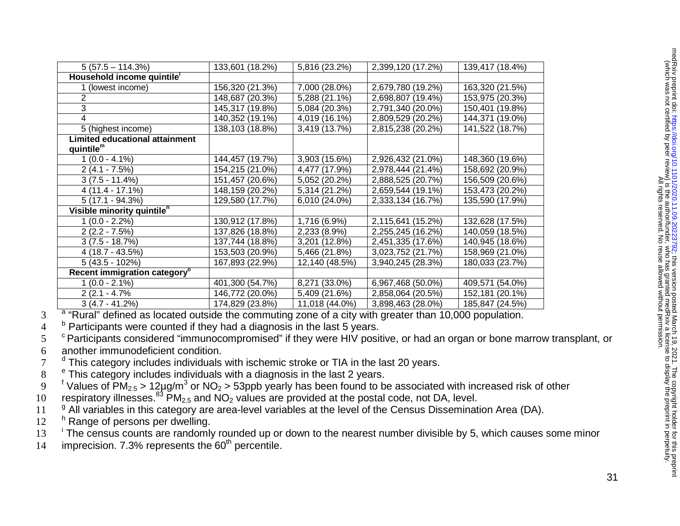| $5(57.5 - 114.3%)$                       | 133,601 (18.2%) | 5,816 (23.2%)  | 2,399,120 (17.2%) | 139,417 (18.4%) |
|------------------------------------------|-----------------|----------------|-------------------|-----------------|
| Household income quintile'               |                 |                |                   |                 |
| 1 (lowest income)                        | 156,320 (21.3%) | 7,000 (28.0%)  | 2,679,780 (19.2%) | 163,320 (21.5%) |
|                                          | 148,687 (20.3%) | 5,288 (21.1%)  | 2,698,807 (19.4%) | 153,975 (20.3%) |
| 3                                        | 145,317 (19.8%) | 5,084 (20.3%)  | 2,791,340 (20.0%) | 150,401 (19.8%) |
| 4                                        | 140,352 (19.1%) | 4,019 (16.1%)  | 2,809,529 (20.2%) | 144,371 (19.0%) |
| 5 (highest income)                       | 138,103 (18.8%) | 3,419 (13.7%)  | 2,815,238 (20.2%) | 141,522 (18.7%) |
| <b>Limited educational attainment</b>    |                 |                |                   |                 |
| quintile <sup>m</sup>                    |                 |                |                   |                 |
| $1(0.0 - 4.1\%)$                         | 144,457 (19.7%) | 3,903 (15.6%)  | 2,926,432 (21.0%) | 148,360 (19.6%) |
| $2(4.1 - 7.5%)$                          | 154,215 (21.0%) | 4,477 (17.9%)  | 2,978,444 (21.4%) | 158,692 (20.9%) |
| $3(7.5 - 11.4%)$                         | 151,457 (20.6%) | 5,052 (20.2%)  | 2,888,525 (20.7%) | 156,509 (20.6%) |
| $4(11.4 - 17.1%)$                        | 148,159 (20.2%) | 5,314 (21.2%)  | 2,659,544 (19.1%) | 153,473 (20.2%) |
| $5(17.1 - 94.3%)$                        | 129,580 (17.7%) | 6,010 (24.0%)  | 2,333,134 (16.7%) | 135,590 (17.9%) |
| Visible minority quintile <sup>n</sup>   |                 |                |                   |                 |
| $1(0.0 - 2.2\%)$                         | 130,912 (17.8%) | 1,716 (6.9%)   | 2,115,641 (15.2%) | 132,628 (17.5%) |
| $2(2.2 - 7.5%)$                          | 137,826 (18.8%) | 2,233 (8.9%)   | 2,255,245 (16.2%) | 140,059 (18.5%) |
| $3(7.5 - 18.7%)$                         | 137,744 (18.8%) | 3,201 (12.8%)  | 2,451,335 (17.6%) | 140,945 (18.6%) |
| $4(18.7 - 43.5%)$                        | 153,503 (20.9%) | 5,466 (21.8%)  | 3,023,752 (21.7%) | 158,969 (21.0%) |
| $5(43.5 - 102%)$                         | 167,893 (22.9%) | 12,140 (48.5%) | 3,940,245 (28.3%) | 180,033 (23.7%) |
| Recent immigration category <sup>o</sup> |                 |                |                   |                 |
| $1(0.0 - 2.1\%)$                         | 401,300 (54.7%) | 8,271 (33.0%)  | 6,967,468 (50.0%) | 409,571 (54.0%) |
| $2(2.1 - 4.7\%)$                         | 146,772 (20.0%) | 5,409 (21.6%)  | 2,858,064 (20.5%) | 152,181 (20.1%) |
| $3(4.7 - 41.2%)$                         | 174,829 (23.8%) | 11,018 (44.0%) | 3,898,463 (28.0%) | 185,847 (24.5%) |

<sup>a</sup> "Rural" defined as located outside the commuting zone of a city with greater than 10,000 population.

 $4<sup>b</sup>$  Participants were counted if they had a diagnosis in the last 5 years.

<sup>5</sup> Participants considered "immunocompromised" if they were HIV positive, or had an organ or bone marrow transplant, or 6 another immunodeficient condition.

 $7<sup>d</sup>$  This category includes individuals with ischemic stroke or TIA in the last 20 years.

 $8<sup>e</sup>$  This category includes individuals with a diagnosis in the last 2 years.

<sup>f</sup> Values of PM<sub>2.5</sub> > 12µg/m<sup>3</sup> or NO<sub>2</sub> > 53ppb yearly has been found to be associated with increased risk of other<br>0 respiratory illnesses.<sup>83</sup> PM<sub>2.5</sub> and NO<sub>2</sub> values are provided at the postal code, not DA, level.

respiratory illnesses.<sup>83</sup> PM<sub>2.5</sub> and NO<sub>2</sub> values are provided at the postal code, not DA, level.  $q^9$  All variables in this category are area-level variables at the level of the Census Dissemination Area (DA).

12 h Range of persons per dwelling.

i13 <sup>i</sup> The census counts are randomly rounded up or down to the nearest number divisible by 5, which causes some minor

14 imprecision. 7.3% represents the  $60<sup>th</sup>$  percentile.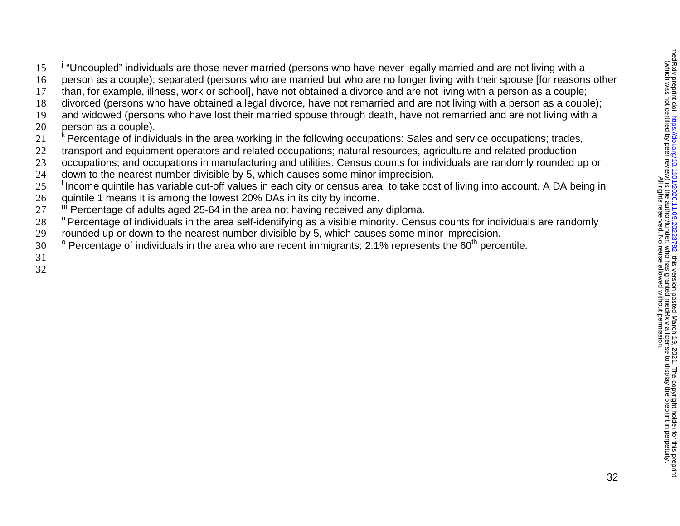15<sup>" i</sup> "Uncoupled" individuals are those never married (persons who have never legally married and are not living with a

- person as a couple); separated (persons who are married but who are no longer living with their spouse [for reasons other
- than, for example, illness, work or school], have not obtained a divorce and are not living with a person as a couple;
- divorced (persons who have obtained a legal divorce, have not remarried and are not living with a person as a couple);
- and widowed (persons who have lost their married spouse through death, have not remarried and are not living with a
- person as a couple).
- <sup>k</sup> Percentage of individuals in the area working in the following occupations: Sales and service occupations; trades,
- transport and equipment operators and related occupations; natural resources, agriculture and related production
- occupations; and occupations in manufacturing and utilities. Census counts for individuals are randomly rounded up or
- down to the nearest number divisible by 5, which causes some minor imprecision.
- 25 Income quintile has variable cut-off values in each city or census area, to take cost of living into account. A DA being in
- quintile 1 means it is among the lowest 20% DAs in its city by income.
- $\degree$  Percentage of adults aged 25-64 in the area not having received any diploma.
- 28 Percentage of individuals in the area self-identifying as a visible minority. Census counts for individuals are randomly
- rounded up or down to the nearest number divisible by 5, which causes some minor imprecision.
- $\degree$  Percentage of individuals in the area who are recent immigrants; 2.1% represents the 60<sup>th</sup> percentile.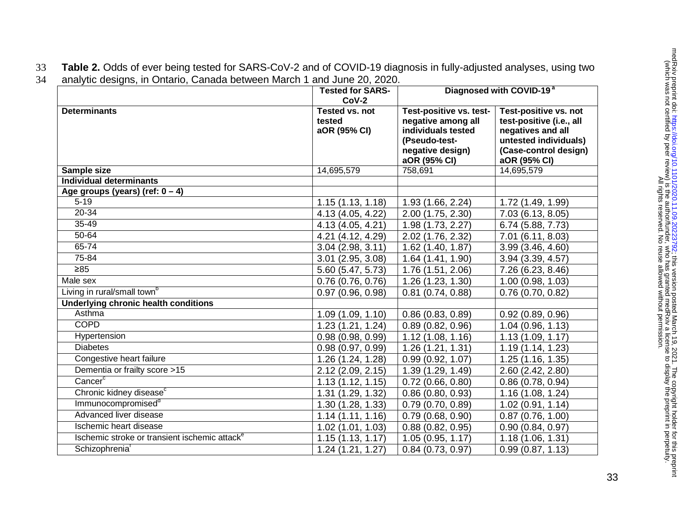33 **Table 2.** Odds of ever being tested for SARS-CoV-2 and of COVID-19 diagnosis in fully-adjusted analyses, using two 34 analytic designs, in Ontario, Canada between March 1 and June 20, 2020.

|                                                           | <b>Tested for SARS-</b><br>$CoV-2$       |                                                                                                                          | Diagnosed with COVID-19 <sup>a</sup>                                                                                                     |
|-----------------------------------------------------------|------------------------------------------|--------------------------------------------------------------------------------------------------------------------------|------------------------------------------------------------------------------------------------------------------------------------------|
| <b>Determinants</b>                                       | Tested vs. not<br>tested<br>aOR (95% CI) | Test-positive vs. test-<br>negative among all<br>individuals tested<br>(Pseudo-test-<br>negative design)<br>aOR (95% CI) | Test-positive vs. not<br>test-positive (i.e., all<br>negatives and all<br>untested individuals)<br>(Case-control design)<br>aOR (95% CI) |
| Sample size                                               | 14,695,579                               | 758,691                                                                                                                  | 14,695,579                                                                                                                               |
| <b>Individual determinants</b>                            |                                          |                                                                                                                          |                                                                                                                                          |
| Age groups (years) (ref: $0 - 4$ )                        |                                          |                                                                                                                          |                                                                                                                                          |
| $5 - 19$                                                  | 1.15(1.13, 1.18)                         | 1.93 (1.66, 2.24)                                                                                                        | 1.72 (1.49, 1.99)                                                                                                                        |
| 20-34                                                     | 4.13 (4.05, 4.22)                        | 2.00 (1.75, 2.30)                                                                                                        | 7.03 (6.13, 8.05)                                                                                                                        |
| 35-49                                                     | 4.13 (4.05, 4.21)                        | 1.98 (1.73, 2.27)                                                                                                        | 6.74 (5.88, 7.73)                                                                                                                        |
| 50-64                                                     | 4.21 (4.12, 4.29)                        | 2.02 (1.76, 2.32)                                                                                                        | 7.01 (6.11, 8.03)                                                                                                                        |
| $65 - 74$                                                 | $3.04$ (2.98, 3.11)                      | 1.62 (1.40, 1.87)                                                                                                        | 3.99(3.46, 4.60)                                                                                                                         |
| 75-84                                                     | $3.01$ (2.95, 3.08)                      | 1.64 (1.41, 1.90)                                                                                                        | 3.94(3.39, 4.57)                                                                                                                         |
| $\geq 85$                                                 | 5.60 (5.47, 5.73)                        | 1.76 (1.51, 2.06)                                                                                                        | 7.26 (6.23, 8.46)                                                                                                                        |
| Male sex                                                  | 0.76(0.76, 0.76)                         | 1.26 (1.23, 1.30)                                                                                                        | 1.00(0.98, 1.03)                                                                                                                         |
| Living in rural/small town <sup>b</sup>                   | 0.97(0.96, 0.98)                         | $0.81$ (0.74, 0.88)                                                                                                      | $0.76$ (0.70, 0.82)                                                                                                                      |
| <b>Underlying chronic health conditions</b>               |                                          |                                                                                                                          |                                                                                                                                          |
| Asthma                                                    | 1.09(1.09, 1.10)                         | 0.86(0.83, 0.89)                                                                                                         | 0.92(0.89, 0.96)                                                                                                                         |
| <b>COPD</b>                                               | 1.23(1.21, 1.24)                         | 0.89(0.82, 0.96)                                                                                                         | 1.04(0.96, 1.13)                                                                                                                         |
| Hypertension                                              | 0.98(0.98, 0.99)                         | 1.12(1.08, 1.16)                                                                                                         | 1.13(1.09, 1.17)                                                                                                                         |
| <b>Diabetes</b>                                           | 0.98(0.97, 0.99)                         | 1.26 (1.21, 1.31)                                                                                                        | 1.19(1.14, 1.23)                                                                                                                         |
| Congestive heart failure                                  | 1.26 (1.24, 1.28)                        | 0.99(0.92, 1.07)                                                                                                         | 1.25(1.16, 1.35)                                                                                                                         |
| Dementia or frailty score >15                             | $2.12$ (2.09, 2.15)                      | 1.39 (1.29, 1.49)                                                                                                        | 2.60 (2.42, 2.80)                                                                                                                        |
| Cancer <sup>c</sup>                                       | 1.13(1.12, 1.15)                         | $0.72$ (0.66, 0.80)                                                                                                      | 0.86(0.78, 0.94)                                                                                                                         |
| Chronic kidney disease <sup>c</sup>                       | 1.31 (1.29, 1.32)                        | 0.86(0.80, 0.93)                                                                                                         | 1.16 (1.08, 1.24)                                                                                                                        |
| Immunocompromised <sup>a</sup>                            | 1.30 (1.28, 1.33)                        | 0.79(0.70, 0.89)                                                                                                         | 1.02(0.91, 1.14)                                                                                                                         |
| Advanced liver disease                                    | 1.14(1.11, 1.16)                         | 0.79(0.68, 0.90)                                                                                                         | 0.87(0.76, 1.00)                                                                                                                         |
| Ischemic heart disease                                    | 1.02 (1.01, 1.03)                        | 0.88(0.82, 0.95)                                                                                                         | 0.90(0.84, 0.97)                                                                                                                         |
| Ischemic stroke or transient ischemic attack <sup>e</sup> | 1.15(1.13, 1.17)                         | 1.05(0.95, 1.17)                                                                                                         | 1.18(1.06, 1.31)                                                                                                                         |
| Schizophrenia <sup>t</sup>                                | 1.24(1.21, 1.27)                         | 0.84(0.73, 0.97)                                                                                                         | 0.99(0.87, 1.13)                                                                                                                         |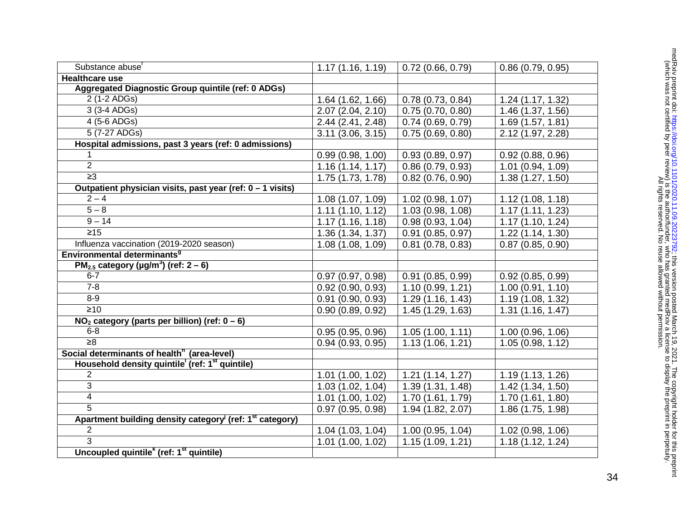| Substance abuse <sup>t</sup>                                                     | 1.17(1.16, 1.19)      | 0.72(0.66, 0.79)    | 0.86(0.79, 0.95)  |
|----------------------------------------------------------------------------------|-----------------------|---------------------|-------------------|
| <b>Healthcare use</b>                                                            |                       |                     |                   |
| Aggregated Diagnostic Group quintile (ref: 0 ADGs)                               |                       |                     |                   |
| $\overline{2}$ (1-2 ADGs)                                                        | 1.64 (1.62, 1.66)     | 0.78(0.73, 0.84)    | 1.24 (1.17, 1.32) |
| 3 (3-4 ADGs)                                                                     | 2.07 (2.04, 2.10)     | 0.75(0.70, 0.80)    | 1.46 (1.37, 1.56) |
| 4 (5-6 ADGs)                                                                     | 2.44 (2.41, 2.48)     | 0.74(0.69, 0.79)    | 1.69(1.57, 1.81)  |
| $\overline{5(7-27 \text{ ADGs})}$                                                | $3.11$ $(3.06, 3.15)$ | 0.75(0.69, 0.80)    | 2.12 (1.97, 2.28) |
| Hospital admissions, past 3 years (ref: 0 admissions)                            |                       |                     |                   |
| 1.                                                                               | 0.99(0.98, 1.00)      | 0.93(0.89, 0.97)    | 0.92(0.88, 0.96)  |
| $\overline{2}$                                                                   | 1.16(1.14, 1.17)      | 0.86(0.79, 0.93)    | 1.01(0.94, 1.09)  |
| $\geq$ 3                                                                         | 1.75(1.73, 1.78)      | $0.82$ (0.76, 0.90) | 1.38(1.27, 1.50)  |
| Outpatient physician visits, past year (ref: 0 - 1 visits)                       |                       |                     |                   |
| $2 - 4$                                                                          | 1.08 (1.07, 1.09)     | 1.02(0.98, 1.07)    | 1.12(1.08, 1.18)  |
| $5 - 8$                                                                          | 1.11(1.10, 1.12)      | 1.03(0.98, 1.08)    | 1.17(1.11, 1.23)  |
| $9 - 14$                                                                         | 1.17(1.16, 1.18)      | 0.98(0.93, 1.04)    | 1.17(1.10, 1.24)  |
| $\overline{\geq 15}$                                                             | 1.36 (1.34, 1.37)     | 0.91(0.85, 0.97)    | 1.22(1.14, 1.30)  |
| Influenza vaccination (2019-2020 season)                                         | 1.08(1.08, 1.09)      | $0.81$ (0.78, 0.83) | 0.87(0.85, 0.90)  |
| Environmental determinants <sup>9</sup>                                          |                       |                     |                   |
| PM <sub>2.5</sub> category ( $\mu$ g/m <sup>3</sup> ) (ref: 2 – 6)               |                       |                     |                   |
| $6 - 7$                                                                          | 0.97(0.97, 0.98)      | 0.91(0.85, 0.99)    | 0.92(0.85, 0.99)  |
| $7 - 8$                                                                          | $0.92$ (0.90, 0.93)   | 1.10(0.99, 1.21)    | 1.00(0.91, 1.10)  |
| $8 - 9$                                                                          | 0.91(0.90, 0.93)      | 1.29(1.16, 1.43)    | 1.19 (1.08, 1.32) |
| $\geq 10$                                                                        | 0.90(0.89, 0.92)      | 1.45(1.29, 1.63)    | 1.31(1.16, 1.47)  |
| $NO2 category (parts per billion) (ref: 0 - 6)$                                  |                       |                     |                   |
| $6 - 8$                                                                          | 0.95(0.95, 0.96)      | 1.05(1.00, 1.11)    | 1.00(0.96, 1.06)  |
| $\overline{\geq 8}$                                                              | 0.94(0.93, 0.95)      | 1.13(1.06, 1.21)    | 1.05(0.98, 1.12)  |
| Social determinants of health <sup>h</sup> (area-level)                          |                       |                     |                   |
| Household density quintile (ref: 1 <sup>st</sup> quintile)                       |                       |                     |                   |
| $\overline{2}$                                                                   | 1.01(1.00, 1.02)      | 1.21(1.14, 1.27)    | 1.19(1.13, 1.26)  |
| 3                                                                                | 1.03(1.02, 1.04)      | 1.39(1.31, 1.48)    | 1.42 (1.34, 1.50) |
| 4                                                                                | 1.01(1.00, 1.02)      | 1.70(1.61, 1.79)    | 1.70 (1.61, 1.80) |
| $\overline{5}$                                                                   | 0.97(0.95, 0.98)      | 1.94 (1.82, 2.07)   | 1.86 (1.75, 1.98) |
| Apartment building density category <sup>j</sup> (ref: 1 <sup>st</sup> category) |                       |                     |                   |
| $\overline{2}$                                                                   | 1.04(1.03, 1.04)      | 1.00(0.95, 1.04)    | 1.02 (0.98, 1.06) |
| $\overline{3}$                                                                   | $1.01$ $(1.00, 1.02)$ | 1.15(1.09, 1.21)    | 1.18(1.12, 1.24)  |
| Uncoupled quintile <sup>k</sup> (ref: 1 <sup>st</sup> quintile)                  |                       |                     |                   |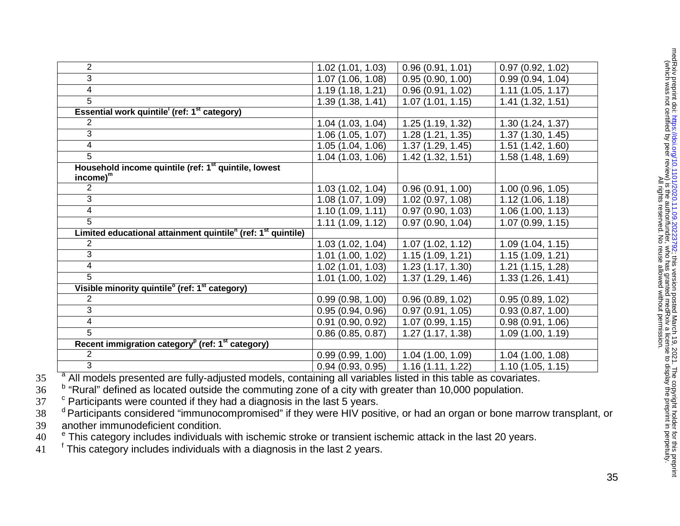| $\overline{2}$                                                                       | 1.02(1.01, 1.03)  | 0.96(0.91, 1.01) | 0.97(0.92, 1.02) |
|--------------------------------------------------------------------------------------|-------------------|------------------|------------------|
| 3                                                                                    | 1.07 (1.06, 1.08) | 0.95(0.90, 1.00) | 0.99(0.94, 1.04) |
| 4                                                                                    | 1.19(1.18, 1.21)  | 0.96(0.91, 1.02) | 1.11(1.05, 1.17) |
| 5                                                                                    | 1.39 (1.38, 1.41) | 1.07(1.01, 1.15) | 1.41(1.32, 1.51) |
| Essential work quintile (ref: 1 <sup>st</sup> category)                              |                   |                  |                  |
| 2                                                                                    | 1.04(1.03, 1.04)  | 1.25(1.19, 1.32) | 1.30(1.24, 1.37) |
| 3                                                                                    | 1.06(1.05, 1.07)  | 1.28(1.21, 1.35) | 1.37(1.30, 1.45) |
| 4                                                                                    | 1.05(1.04, 1.06)  | 1.37(1.29, 1.45) | 1.51(1.42, 1.60) |
| 5                                                                                    | 1.04 (1.03, 1.06) | 1.42(1.32, 1.51) | 1.58(1.48, 1.69) |
| Household income quintile (ref: 1 <sup>st</sup> quintile, lowest<br>$income)^{m}$    |                   |                  |                  |
| $\overline{2}$                                                                       | 1.03(1.02, 1.04)  | 0.96(0.91, 1.00) | 1.00(0.96, 1.05) |
| 3                                                                                    | 1.08(1.07, 1.09)  | 1.02(0.97, 1.08) | 1.12(1.06, 1.18) |
| $\overline{4}$                                                                       | 1.10(1.09, 1.11)  | 0.97(0.90, 1.03) | 1.06(1.00, 1.13) |
| 5                                                                                    | 1.11(1.09, 1.12)  | 0.97(0.90, 1.04) | 1.07(0.99, 1.15) |
| Limited educational attainment quintile <sup>n</sup> (ref: 1 <sup>st</sup> quintile) |                   |                  |                  |
| $\overline{2}$                                                                       | 1.03(1.02, 1.04)  | 1.07(1.02, 1.12) | 1.09(1.04, 1.15) |
| 3                                                                                    | 1.01(1.00, 1.02)  | 1.15(1.09, 1.21) | 1.15(1.09, 1.21) |
| 4                                                                                    | 1.02(1.01, 1.03)  | 1.23(1.17, 1.30) | 1.21(1.15, 1.28) |
| $\overline{5}$                                                                       | 1.01(1.00, 1.02)  | 1.37(1.29, 1.46) | 1.33(1.26, 1.41) |
| Visible minority quintile <sup>o</sup> (ref: 1 <sup>st</sup> category)               |                   |                  |                  |
| 2                                                                                    | 0.99(0.98, 1.00)  | 0.96(0.89, 1.02) | 0.95(0.89, 1.02) |
| 3                                                                                    | 0.95(0.94, 0.96)  | 0.97(0.91, 1.05) | 0.93(0.87, 1.00) |
| 4                                                                                    | 0.91(0.90, 0.92)  | 1.07(0.99, 1.15) | 0.98(0.91, 1.06) |
| 5                                                                                    | 0.86(0.85, 0.87)  | 1.27(1.17, 1.38) | 1.09(1.00, 1.19) |
| Recent immigration category <sup>p</sup> (ref: 1 <sup>st</sup> category)             |                   |                  |                  |
| $\overline{2}$                                                                       | 0.99(0.99, 1.00)  | 1.04(1.00, 1.09) | 1.04(1.00, 1.08) |
| $\overline{3}$                                                                       | 0.94(0.93, 0.95)  | 1.16(1.11, 1.22) | 1.10(1.05, 1.15) |

<sup>a</sup> All models presented are fully-adjusted models, containing all variables listed in this table as covariates.

36 b "Rural" defined as located outside the commuting zone of a city with greater than 10,000 population.

<sup>c</sup> Participants were counted if they had a diagnosis in the last 5 years.

<sup>37</sup> <sup>c</sup> Participants were counted if they had a diagnosis in the last 5 years. d 38  $\frac{d}{dr}$  Participants considered "immunocompromised" if they were HIV positive, or had an organ or bone marrow transplant, or 39 another immunodeficient condition.

 $40$   $^{-6}$  This category includes individuals with ischemic stroke or transient ischemic attack in the last 20 years.

 $41$   $\phantom{1}^{\text{f}}$  This category includes individuals with a diagnosis in the last 2 years.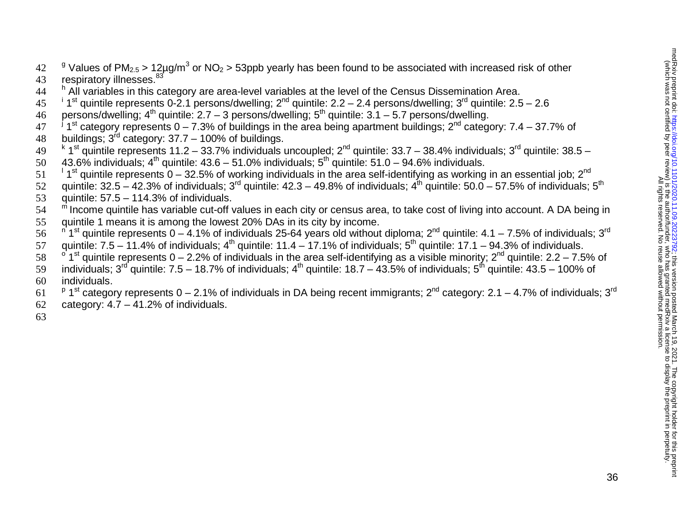$9^{\circ}$  Values of PM<sub>2.5</sub> > 12µg/m<sup>3</sup> or NO<sub>2</sub> > 53ppb yearly has been found to be associated with increased risk of other 43 respiratory illnesses.<sup>83</sup><br>44 h All variables in this ca

- <sup>h</sup> All variables in this category are area-level variables at the level of the Census Dissemination Area.
- <sup>i</sup> 1<sup>st</sup> quintile represents 0-2.1 persons/dwelling;  $2^{nd}$  quintile:  $2.2 2.4$  persons/dwelling;  $3^{rd}$  quintile:  $2.5 2.6$ <br>46 persons/dwelling;  $4^{th}$  quintile:  $2.7 3$  persons/dwelling;  $5^{th}$  quintile:  $3.1 5.7$
- 
- persons/dwelling; 4<sup>th</sup> quintile: 2.7 3 persons/dwelling; 5<sup>th</sup> quintile: 3.1 5.7 persons/dwelling.<br>47 <sup>J</sup> 1<sup>st</sup> category represents 0 7.3% of buildings in the area being apartment buildings; 2<sup>nd</sup> category: 7.4 3
- 
- buildings; 3<sup>rd</sup> category: 37.7 100% of buildings.<br>49<sup>k</sup> 1<sup>st</sup> quintile represents 11.2 33.7% individuals uncoupled; 2<sup>nd</sup> quintile: 33.7 38.4% individuals; 3<sup>rd</sup> quintile: 38.5 –<br>50 43.6% individuals; 4<sup>th</sup> quintil
- 43.6% individuals; 4<sup>th</sup> quintile: 43.6 51.0% individuals; 5<sup>th</sup> quintile: 51.0 94.6% individuals.<br>51 <sup>1</sup> 1<sup>st</sup> quintile represents 0 32.5% of working individuals in the area self-identifying as working in an essent
- 52 quintile:  $32.5 42.3\%$  of individuals;  $3^{rd}$  quintile:  $42.3 49.8\%$  of individuals;  $4^{th}$  quintile:  $50.0 57.5\%$  of individuals;  $5^{th}$
- 53 quintile: 57.5 114.3% of individuals.
- 54 <sup>m</sup> Income quintile has variable cut-off values in each city or census area, to take cost of living into account. A DA being in
- 55 quintile 1 means it is among the lowest 20% DAs in its city by income.
- $\frac{n}{1}$ st quintile represents 0 4.1% of individuals 25-64 years old without diploma;  $2^{nd}$  quintile: 4.1 7.5% of individuals; 3<sup>rd</sup> 57 guintile: 7.5 11.4% of individuals; 4<sup>th</sup> quintile: 11.4 17.1% of individual
- quintile: 7.5 11.4% of individuals; 4<sup>th</sup> quintile: 11.4 17.1% of individuals; 5<sup>th</sup> quintile: 17.1 94.3% of individuals.<br>58 <sup>o</sup> 1<sup>st</sup> quintile represents 0 2.2% of individuals in the area self-identifying as a vi
- 
- individuals;  $3^{rd}$  quintile: 7.5 18.7% of individuals;  $4^{th}$  quintile: 18.7 43.5% of individuals;  $5^{th}$  quintile: 43.5 100% of
- 60 individuals.
- 61  $P$  1<sup>st</sup> category represents 0 2.1% of individuals in DA being recent immigrants; 2<sup>nd</sup> category: 2.1 4.7% of individuals; 3<sup>rd</sup>
- 62 category:  $4.7 41.2%$  of individuals.
- 63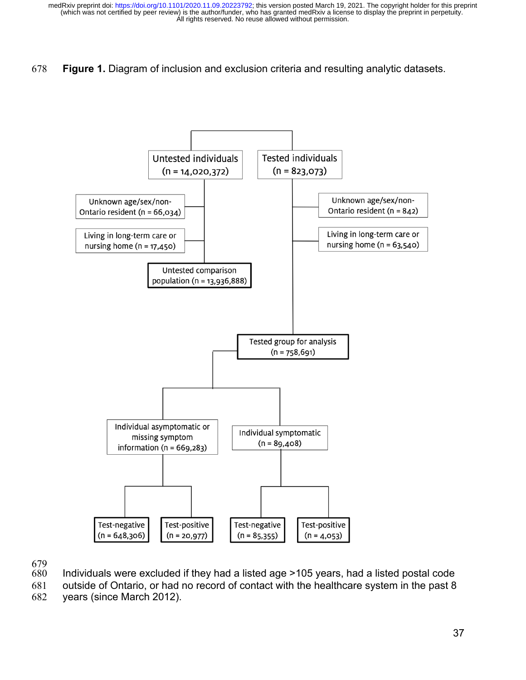## 678 **Figure 1.** Diagram of inclusion and exclusion criteria and resulting analytic datasets.



679

Individuals were excluded if they had a listed age >105 years, had a listed postal code

681 outside of Ontario, or had no record of contact with the healthcare system in the past 8 682 years (since March 2012).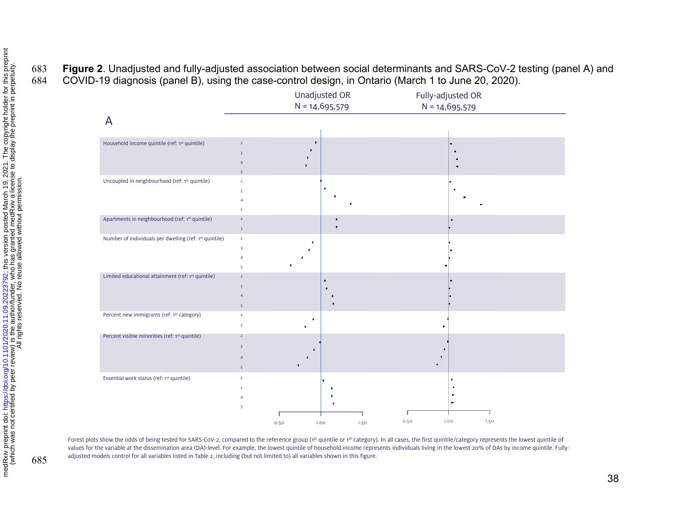# 683 **Figure 2**. Unadjusted and fully-adjusted association between social determinants and SARS-CoV-2 testing (panel A) and 684 COVID-19 diagnosis (panel B), using the case-control design, in Ontario (March 1 to June 20, 2020).



Forest plots show the odds of being tested for SARS-CoV-2, compared to the reference group (1st quintile or 1st category). In all cases, the first quintile/category represents the lowest quintile of values for the variable at the dissemination area (DA)-level. For example, the lowest quintile of household income represents individuals living in the lowest 20% of DAs by income quintile. Fullyadjusted models control for all variables listed in Table 2, including (but not limited to) all variables shown in this figure.

| $\ddot{\ddot{\ }}$<br>;<br>ļ |  | $\frac{1}{2}$<br>キュニ | יבטבבט. | ייני את המי הויהויה אי ייני | $\overline{\phantom{a}}$ | こうしょう しょうしょう<br>$\sim$ 0.000<br>١ | ļ. |
|------------------------------|--|----------------------|---------|-----------------------------|--------------------------|-----------------------------------|----|
|------------------------------|--|----------------------|---------|-----------------------------|--------------------------|-----------------------------------|----|

685